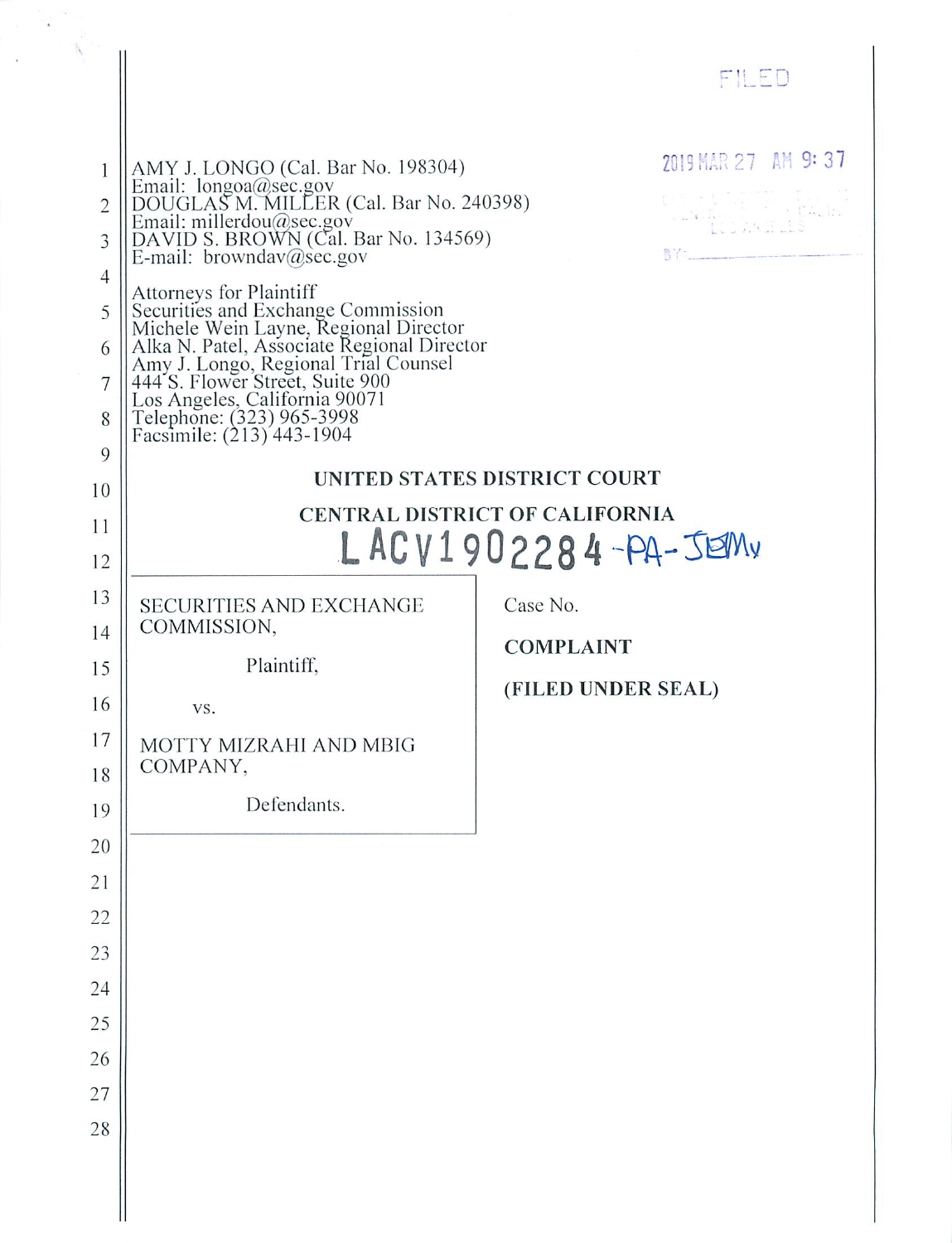|                                                                                       |                                                                                                                                                                                                                                                                                                                                                                                                                                                                                                 | FILED                                                                                                                   |
|---------------------------------------------------------------------------------------|-------------------------------------------------------------------------------------------------------------------------------------------------------------------------------------------------------------------------------------------------------------------------------------------------------------------------------------------------------------------------------------------------------------------------------------------------------------------------------------------------|-------------------------------------------------------------------------------------------------------------------------|
|                                                                                       |                                                                                                                                                                                                                                                                                                                                                                                                                                                                                                 |                                                                                                                         |
| 1<br>$\overline{2}$<br>3<br>$\overline{4}$<br>5<br>6<br>7<br>8<br>9<br>10<br>11<br>12 | AMY J. LONGO (Cal. Bar No. 198304)<br>AMT 3. LONGO (Cal. Bar No. 156564)<br>Email: longoa@sec.gov<br>DOUGLAS M. MILLER (Cal. Bar No. 240398)<br>Email: millerdou@sec.gov<br>DAVID S. BROWN (Cal. Bar No. 134569)<br>E-mail: browndav@sec.gov<br>Attorneys for Plaintiff<br>Securities and Exchange Commission<br>Michele Wein Layne, Regional Director<br>Alka N. Patel, Associate Regional Director<br>Amy J. Longo, Regional Trial Counsel<br>444 S. Flower Street, Suite 900<br>Los Angeles, | 2019 MAR 27 AM 9:37<br>UNITED STATES DISTRICT COURT<br><b>CENTRAL DISTRICT OF CALIFORNIA</b><br>$LACV1902284 - PA-JEMv$ |
| 13                                                                                    | SECURITIES AND EXCHANGE                                                                                                                                                                                                                                                                                                                                                                                                                                                                         | Case No.                                                                                                                |
| 14                                                                                    | COMMISSION,                                                                                                                                                                                                                                                                                                                                                                                                                                                                                     | <b>COMPLAINT</b>                                                                                                        |
| 15<br>16                                                                              | Plaintiff,                                                                                                                                                                                                                                                                                                                                                                                                                                                                                      | (FILED UNDER SEAL)                                                                                                      |
| 17                                                                                    | VS.<br>MOTTY MIZRAHI AND MBIG                                                                                                                                                                                                                                                                                                                                                                                                                                                                   |                                                                                                                         |
| 18                                                                                    | COMPANY,                                                                                                                                                                                                                                                                                                                                                                                                                                                                                        |                                                                                                                         |
| 19                                                                                    | Defendants.                                                                                                                                                                                                                                                                                                                                                                                                                                                                                     |                                                                                                                         |
| 20                                                                                    |                                                                                                                                                                                                                                                                                                                                                                                                                                                                                                 |                                                                                                                         |
| 21                                                                                    |                                                                                                                                                                                                                                                                                                                                                                                                                                                                                                 |                                                                                                                         |
| 22                                                                                    |                                                                                                                                                                                                                                                                                                                                                                                                                                                                                                 |                                                                                                                         |
| 23                                                                                    |                                                                                                                                                                                                                                                                                                                                                                                                                                                                                                 |                                                                                                                         |
| 24                                                                                    |                                                                                                                                                                                                                                                                                                                                                                                                                                                                                                 |                                                                                                                         |
| 25                                                                                    |                                                                                                                                                                                                                                                                                                                                                                                                                                                                                                 |                                                                                                                         |
| 26                                                                                    |                                                                                                                                                                                                                                                                                                                                                                                                                                                                                                 |                                                                                                                         |
| 27<br>28                                                                              |                                                                                                                                                                                                                                                                                                                                                                                                                                                                                                 |                                                                                                                         |
|                                                                                       |                                                                                                                                                                                                                                                                                                                                                                                                                                                                                                 |                                                                                                                         |
|                                                                                       |                                                                                                                                                                                                                                                                                                                                                                                                                                                                                                 |                                                                                                                         |
|                                                                                       |                                                                                                                                                                                                                                                                                                                                                                                                                                                                                                 |                                                                                                                         |

 $\bar{\bar{z}}$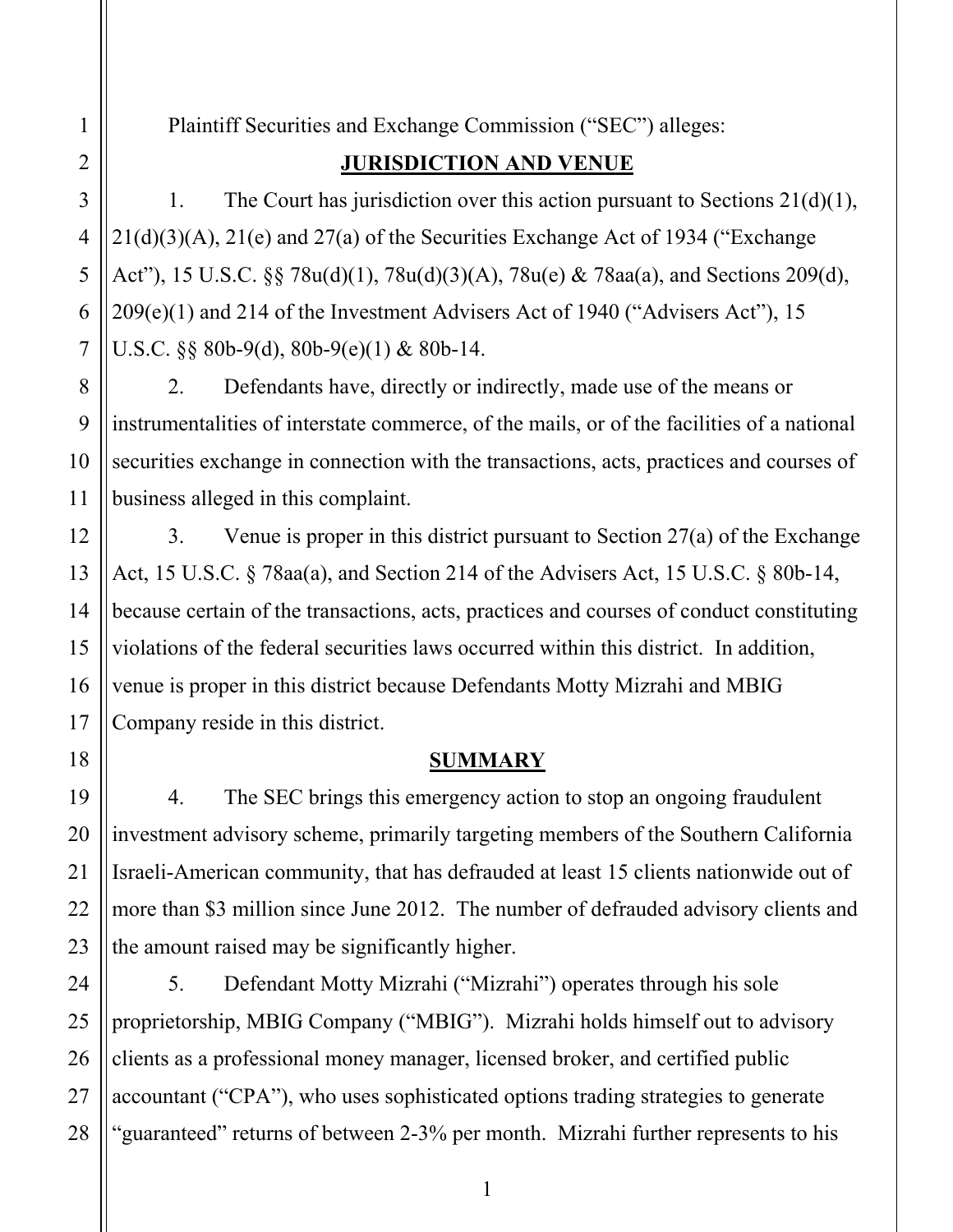Plaintiff Securities and Exchange Commission ("SEC") alleges:

# **JURISDICTION AND VENUE**

1. The Court has jurisdiction over this action pursuant to Sections  $21(d)(1)$ , 21(d)(3)(A), 21(e) and 27(a) of the Securities Exchange Act of 1934 ("Exchange Act"), 15 U.S.C. §§ 78u(d)(1), 78u(d)(3)(A), 78u(e) & 78aa(a), and Sections 209(d), 209(e)(1) and 214 of the Investment Advisers Act of 1940 ("Advisers Act"), 15 U.S.C. §§ 80b-9(d), 80b-9(e)(1) & 80b-14.

2. Defendants have, directly or indirectly, made use of the means or instrumentalities of interstate commerce, of the mails, or of the facilities of a national securities exchange in connection with the transactions, acts, practices and courses of business alleged in this complaint.

3. Venue is proper in this district pursuant to Section 27(a) of the Exchange Act, 15 U.S.C. § 78aa(a), and Section 214 of the Advisers Act, 15 U.S.C. § 80b-14, because certain of the transactions, acts, practices and courses of conduct constituting violations of the federal securities laws occurred within this district. In addition, venue is proper in this district because Defendants Motty Mizrahi and MBIG Company reside in this district.

# **SUMMARY**

4. The SEC brings this emergency action to stop an ongoing fraudulent investment advisory scheme, primarily targeting members of the Southern California Israeli-American community, that has defrauded at least 15 clients nationwide out of more than \$3 million since June 2012. The number of defrauded advisory clients and the amount raised may be significantly higher.

5. Defendant Motty Mizrahi ("Mizrahi") operates through his sole proprietorship, MBIG Company ("MBIG"). Mizrahi holds himself out to advisory clients as a professional money manager, licensed broker, and certified public accountant ("CPA"), who uses sophisticated options trading strategies to generate "guaranteed" returns of between 2-3% per month. Mizrahi further represents to his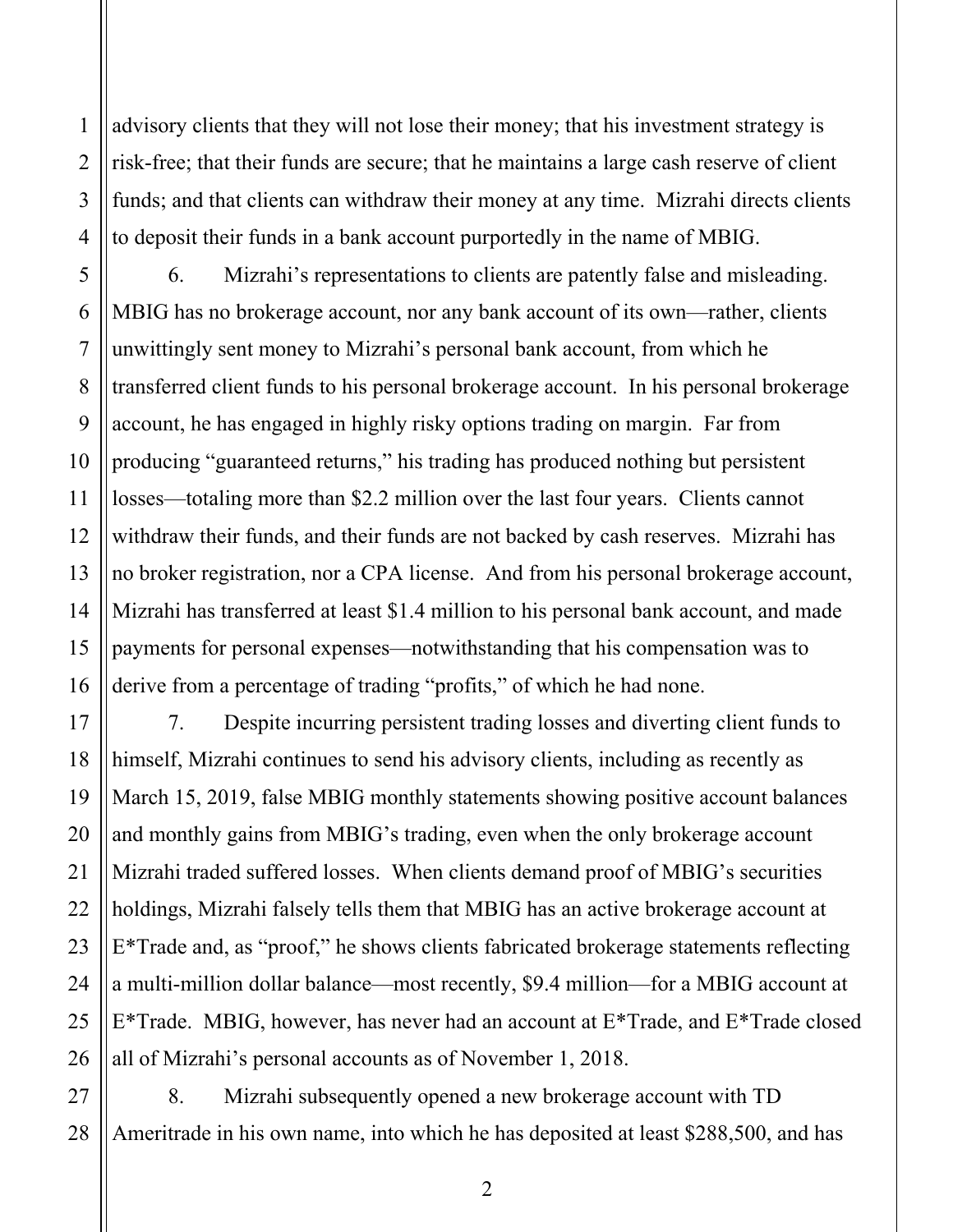advisory clients that they will not lose their money; that his investment strategy is risk-free; that their funds are secure; that he maintains a large cash reserve of client funds; and that clients can withdraw their money at any time. Mizrahi directs clients to deposit their funds in a bank account purportedly in the name of MBIG.

16 6. Mizrahi's representations to clients are patently false and misleading. MBIG has no brokerage account, nor any bank account of its own—rather, clients unwittingly sent money to Mizrahi's personal bank account, from which he transferred client funds to his personal brokerage account. In his personal brokerage account, he has engaged in highly risky options trading on margin. Far from producing "guaranteed returns," his trading has produced nothing but persistent losses—totaling more than \$2.2 million over the last four years. Clients cannot withdraw their funds, and their funds are not backed by cash reserves. Mizrahi has no broker registration, nor a CPA license. And from his personal brokerage account, Mizrahi has transferred at least \$1.4 million to his personal bank account, and made payments for personal expenses—notwithstanding that his compensation was to derive from a percentage of trading "profits," of which he had none.

7. Despite incurring persistent trading losses and diverting client funds to himself, Mizrahi continues to send his advisory clients, including as recently as March 15, 2019, false MBIG monthly statements showing positive account balances and monthly gains from MBIG's trading, even when the only brokerage account Mizrahi traded suffered losses. When clients demand proof of MBIG's securities holdings, Mizrahi falsely tells them that MBIG has an active brokerage account at E\*Trade and, as "proof," he shows clients fabricated brokerage statements reflecting a multi-million dollar balance—most recently, \$9.4 million—for a MBIG account at E\*Trade. MBIG, however, has never had an account at E\*Trade, and E\*Trade closed all of Mizrahi's personal accounts as of November 1, 2018.

27 8. Mizrahi subsequently opened a new brokerage account with TD Ameritrade in his own name, into which he has deposited at least \$288,500, and has

2

1

2

3

4

5

6

7

8

9

10

11

12

13

14

15

17

18

19

20

21

22

23

24

25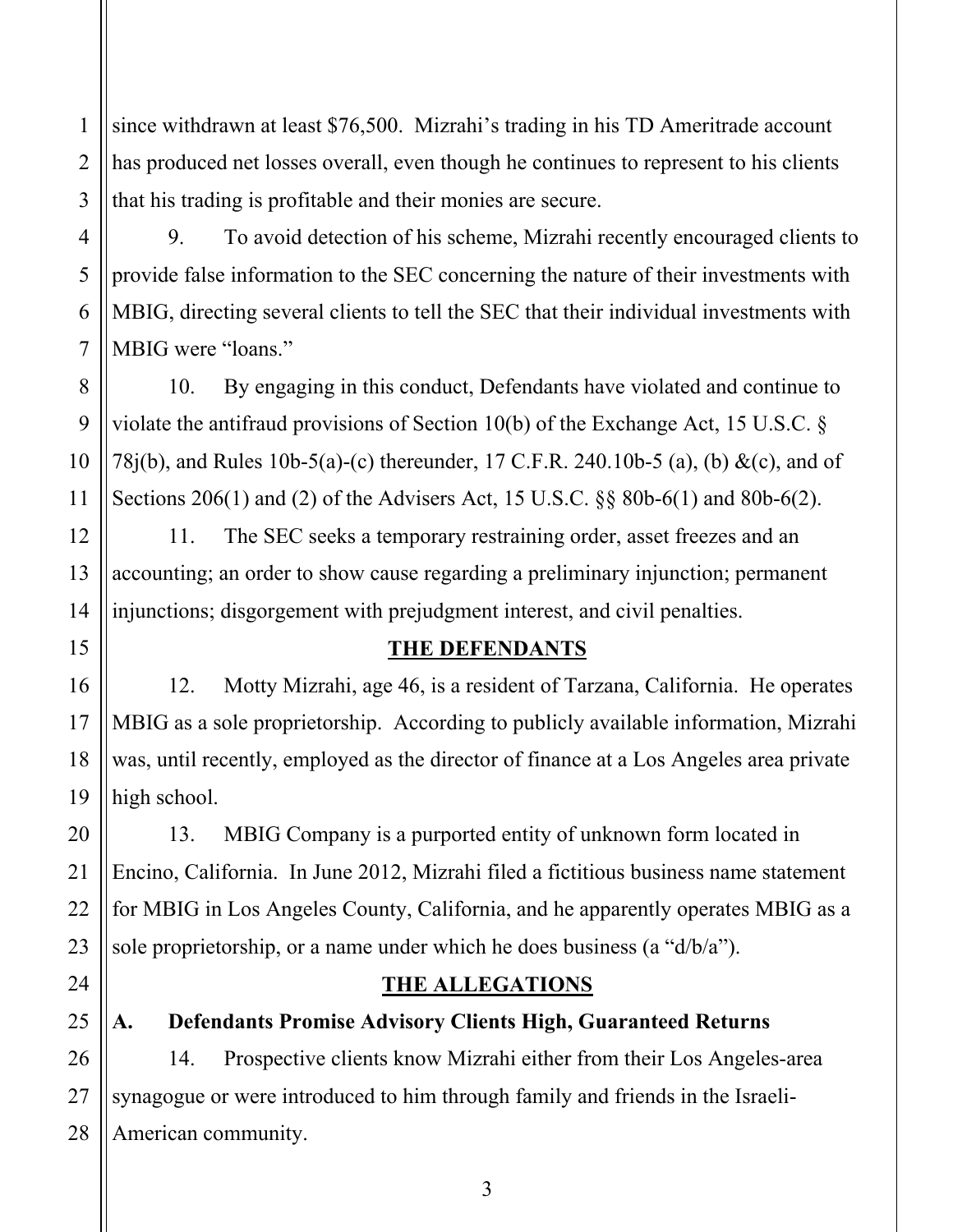1 2 3 since withdrawn at least \$76,500. Mizrahi's trading in his TD Ameritrade account has produced net losses overall, even though he continues to represent to his clients that his trading is profitable and their monies are secure.

9. To avoid detection of his scheme, Mizrahi recently encouraged clients to provide false information to the SEC concerning the nature of their investments with MBIG, directing several clients to tell the SEC that their individual investments with MBIG were "loans."

10. By engaging in this conduct, Defendants have violated and continue to violate the antifraud provisions of Section 10(b) of the Exchange Act, 15 U.S.C. § 78j(b), and Rules 10b-5(a)-(c) thereunder, 17 C.F.R. 240.10b-5 (a), (b) &(c), and of Sections 206(1) and (2) of the Advisers Act, 15 U.S.C. §§ 80b-6(1) and 80b-6(2).

11. The SEC seeks a temporary restraining order, asset freezes and an accounting; an order to show cause regarding a preliminary injunction; permanent injunctions; disgorgement with prejudgment interest, and civil penalties.

## **THE DEFENDANTS**

12. Motty Mizrahi, age 46, is a resident of Tarzana, California. He operates MBIG as a sole proprietorship. According to publicly available information, Mizrahi was, until recently, employed as the director of finance at a Los Angeles area private high school.

13. MBIG Company is a purported entity of unknown form located in Encino, California. In June 2012, Mizrahi filed a fictitious business name statement for MBIG in Los Angeles County, California, and he apparently operates MBIG as a sole proprietorship, or a name under which he does business (a "d/b/a").

## **THE ALLEGATIONS**

**A. Defendants Promise Advisory Clients High, Guaranteed Returns** 

28 14. Prospective clients know Mizrahi either from their Los Angeles-area synagogue or were introduced to him through family and friends in the Israeli-American community.

4

5

6

7

8

9

10

11

12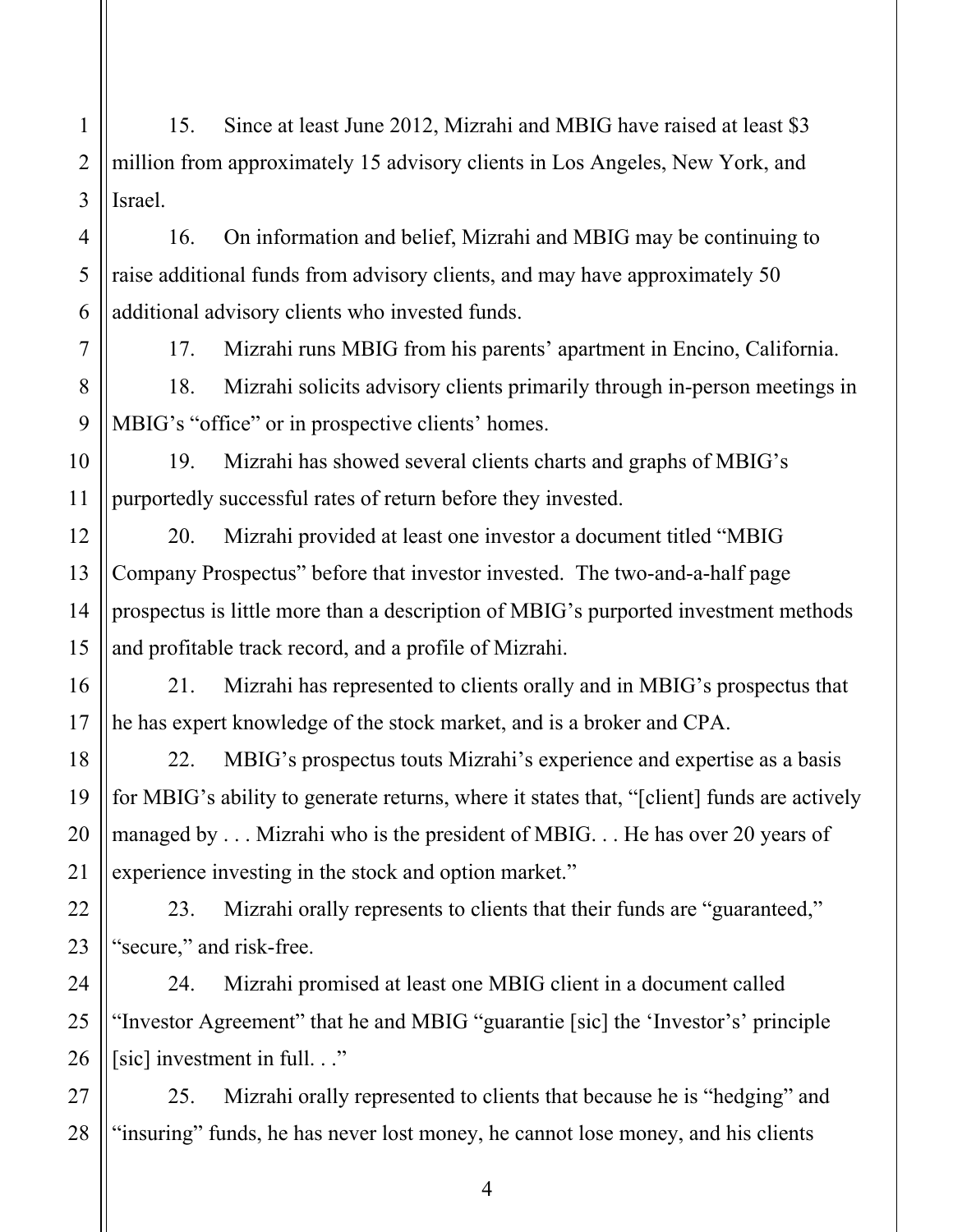1 2 3 4 5 6 15. Since at least June 2012, Mizrahi and MBIG have raised at least \$3 million from approximately 15 advisory clients in Los Angeles, New York, and Israel. 16. On information and belief, Mizrahi and MBIG may be continuing to raise additional funds from advisory clients, and may have approximately 50 additional advisory clients who invested funds.

17. Mizrahi runs MBIG from his parents' apartment in Encino, California.

8 9 18. Mizrahi solicits advisory clients primarily through in-person meetings in MBIG's "office" or in prospective clients' homes.

19. Mizrahi has showed several clients charts and graphs of MBIG's purportedly successful rates of return before they invested.

20. Mizrahi provided at least one investor a document titled "MBIG Company Prospectus" before that investor invested. The two-and-a-half page prospectus is little more than a description of MBIG's purported investment methods and profitable track record, and a profile of Mizrahi.

21. Mizrahi has represented to clients orally and in MBIG's prospectus that he has expert knowledge of the stock market, and is a broker and CPA.

22. MBIG's prospectus touts Mizrahi's experience and expertise as a basis for MBIG's ability to generate returns, where it states that, "[client] funds are actively managed by . . . Mizrahi who is the president of MBIG. . . He has over 20 years of experience investing in the stock and option market."

23. Mizrahi orally represents to clients that their funds are "guaranteed," "secure," and risk-free.

24. Mizrahi promised at least one MBIG client in a document called "Investor Agreement" that he and MBIG "guarantie [sic] the 'Investor's' principle [sic] investment in full. . ."

25. Mizrahi orally represented to clients that because he is "hedging" and "insuring" funds, he has never lost money, he cannot lose money, and his clients

4

7

10

11

12

13

14

15

16

17

18

19

20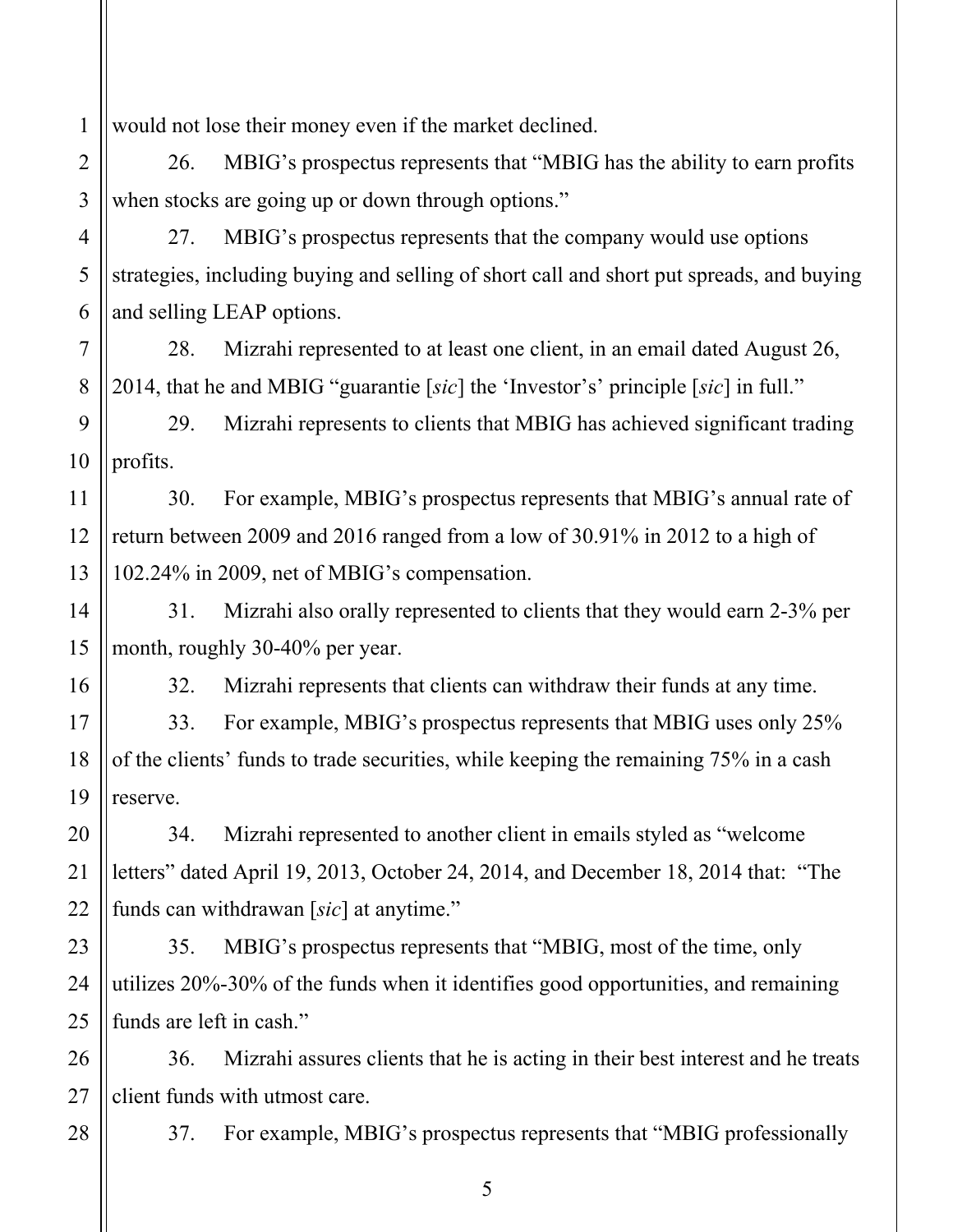1 would not lose their money even if the market declined.

4

5

6

7

8

11

12

13

14

15

16

17

18

19

20

21

22

28

2 3 26. MBIG's prospectus represents that "MBIG has the ability to earn profits when stocks are going up or down through options."

27. MBIG's prospectus represents that the company would use options strategies, including buying and selling of short call and short put spreads, and buying and selling LEAP options.

28. Mizrahi represented to at least one client, in an email dated August 26, 2014, that he and MBIG "guarantie [*sic*] the 'Investor's' principle [*sic*] in full."

9 10 29. Mizrahi represents to clients that MBIG has achieved significant trading profits.

30. For example, MBIG's prospectus represents that MBIG's annual rate of return between 2009 and 2016 ranged from a low of 30.91% in 2012 to a high of 102.24% in 2009, net of MBIG's compensation.

31. Mizrahi also orally represented to clients that they would earn 2-3% per month, roughly 30-40% per year.

32. Mizrahi represents that clients can withdraw their funds at any time.

33. For example, MBIG's prospectus represents that MBIG uses only 25% of the clients' funds to trade securities, while keeping the remaining 75% in a cash reserve.

34. Mizrahi represented to another client in emails styled as "welcome letters" dated April 19, 2013, October 24, 2014, and December 18, 2014 that: "The funds can withdrawan [*sic*] at anytime."

23 24 25 35. MBIG's prospectus represents that "MBIG, most of the time, only utilizes 20%-30% of the funds when it identifies good opportunities, and remaining funds are left in cash."

26 27 36. Mizrahi assures clients that he is acting in their best interest and he treats client funds with utmost care.

37. For example, MBIG's prospectus represents that "MBIG professionally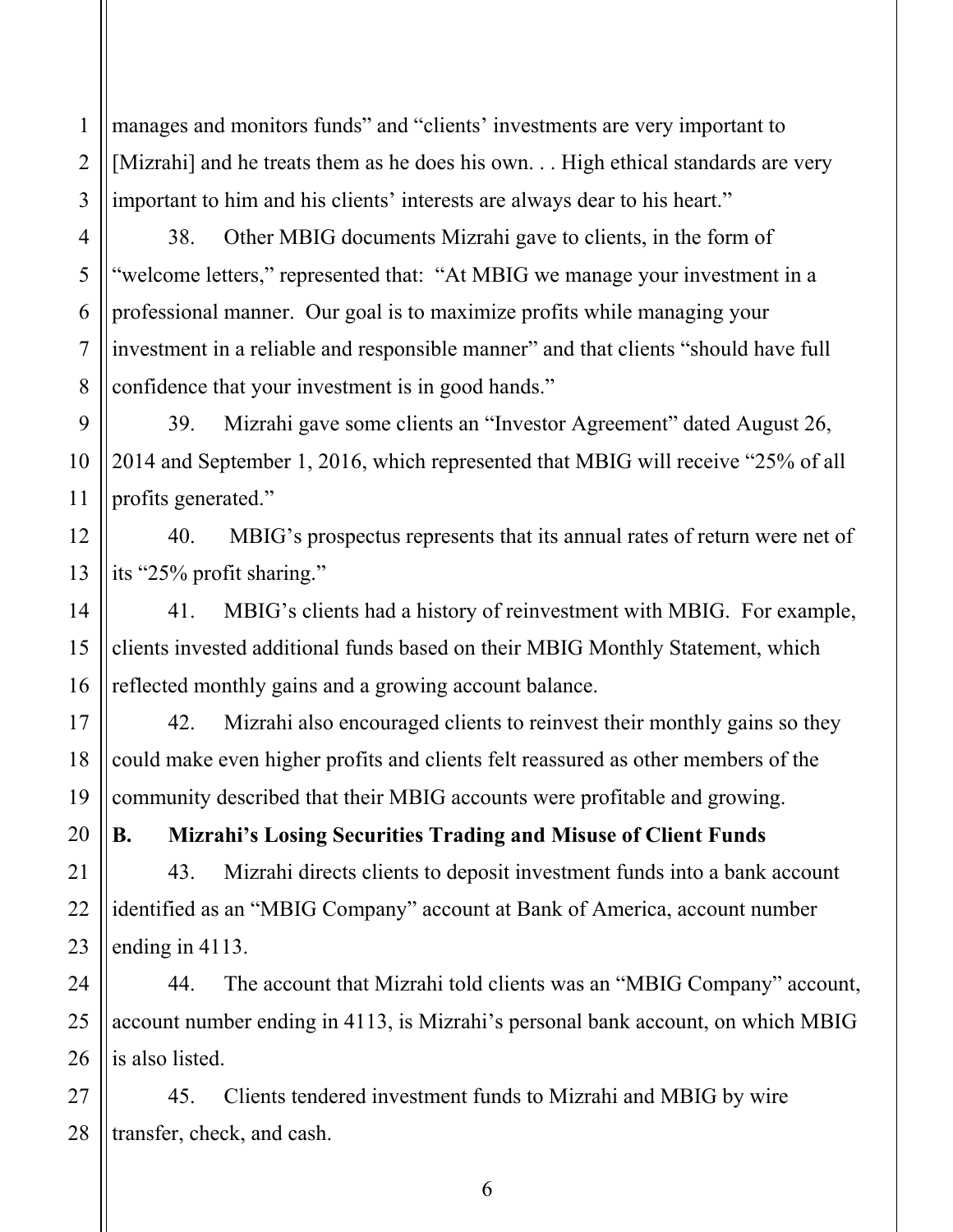1 2 3 manages and monitors funds" and "clients' investments are very important to [Mizrahi] and he treats them as he does his own. . . High ethical standards are very important to him and his clients' interests are always dear to his heart."

4 5 6 7 8 38. Other MBIG documents Mizrahi gave to clients, in the form of "welcome letters," represented that: "At MBIG we manage your investment in a professional manner. Our goal is to maximize profits while managing your investment in a reliable and responsible manner" and that clients "should have full confidence that your investment is in good hands."

39. Mizrahi gave some clients an "Investor Agreement" dated August 26, 2014 and September 1, 2016, which represented that MBIG will receive "25% of all profits generated."

9

10

11

12

13

14

15

24

25

40. MBIG's prospectus represents that its annual rates of return were net of its "25% profit sharing."

16 41. MBIG's clients had a history of reinvestment with MBIG. For example, clients invested additional funds based on their MBIG Monthly Statement, which reflected monthly gains and a growing account balance.

17 18 19 42. Mizrahi also encouraged clients to reinvest their monthly gains so they could make even higher profits and clients felt reassured as other members of the community described that their MBIG accounts were profitable and growing.

20 21 22 23 **B. Mizrahi's Losing Securities Trading and Misuse of Client Funds**  43. Mizrahi directs clients to deposit investment funds into a bank account identified as an "MBIG Company" account at Bank of America, account number ending in 4113.

26 44. The account that Mizrahi told clients was an "MBIG Company" account, account number ending in 4113, is Mizrahi's personal bank account, on which MBIG is also listed.

27 28 45. Clients tendered investment funds to Mizrahi and MBIG by wire transfer, check, and cash.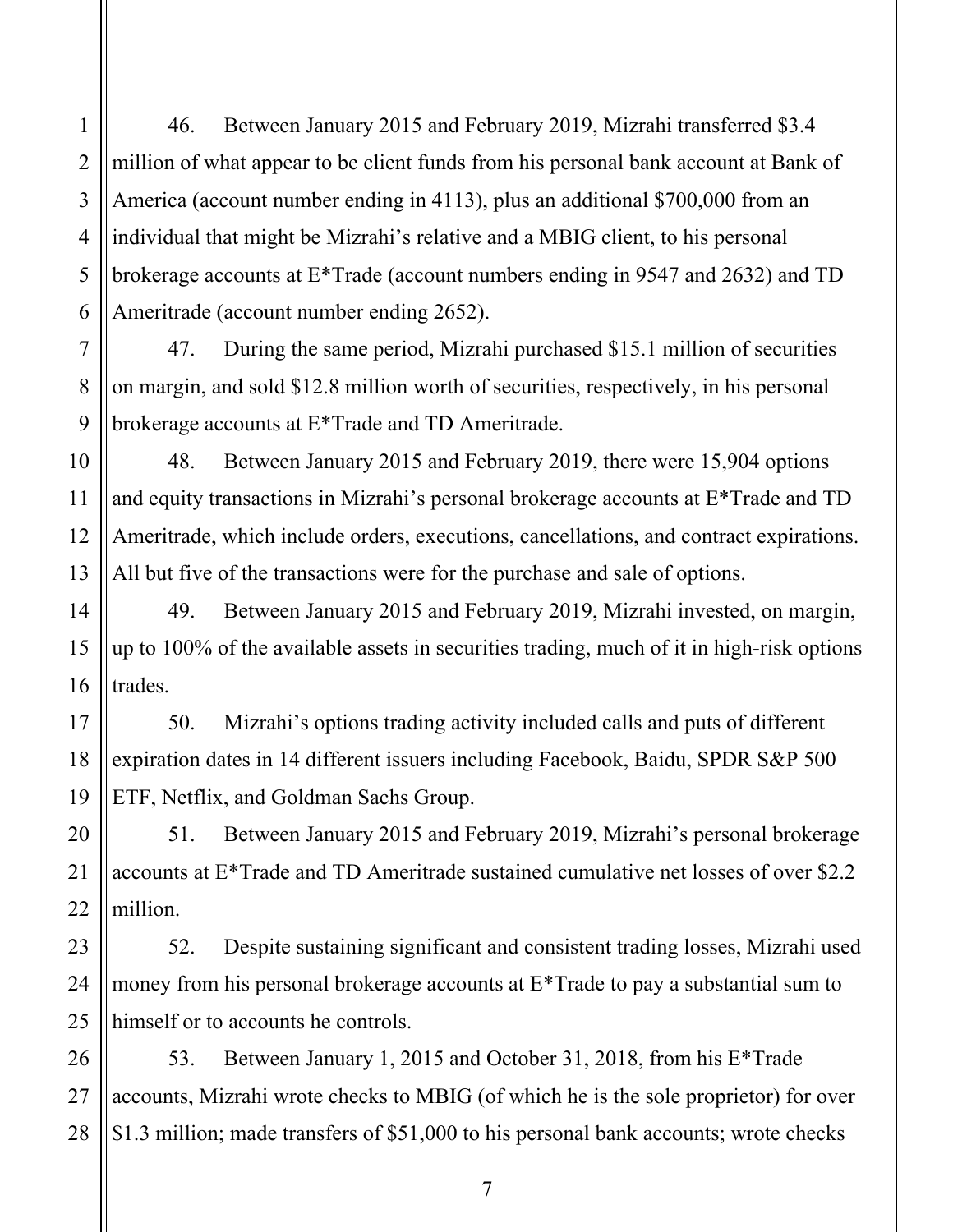46. Between January 2015 and February 2019, Mizrahi transferred \$3.4 million of what appear to be client funds from his personal bank account at Bank of America (account number ending in 4113), plus an additional \$700,000 from an individual that might be Mizrahi's relative and a MBIG client, to his personal brokerage accounts at E\*Trade (account numbers ending in 9547 and 2632) and TD Ameritrade (account number ending 2652).

47. During the same period, Mizrahi purchased \$15.1 million of securities on margin, and sold \$12.8 million worth of securities, respectively, in his personal brokerage accounts at E\*Trade and TD Ameritrade.

48. Between January 2015 and February 2019, there were 15,904 options and equity transactions in Mizrahi's personal brokerage accounts at E\*Trade and TD Ameritrade, which include orders, executions, cancellations, and contract expirations. All but five of the transactions were for the purchase and sale of options.

49. Between January 2015 and February 2019, Mizrahi invested, on margin, up to 100% of the available assets in securities trading, much of it in high-risk options trades.

50. Mizrahi's options trading activity included calls and puts of different expiration dates in 14 different issuers including Facebook, Baidu, SPDR S&P 500 ETF, Netflix, and Goldman Sachs Group.

51. Between January 2015 and February 2019, Mizrahi's personal brokerage accounts at E\*Trade and TD Ameritrade sustained cumulative net losses of over \$2.2 million.

52. Despite sustaining significant and consistent trading losses, Mizrahi used money from his personal brokerage accounts at E\*Trade to pay a substantial sum to himself or to accounts he controls.

28 53. Between January 1, 2015 and October 31, 2018, from his E\*Trade accounts, Mizrahi wrote checks to MBIG (of which he is the sole proprietor) for over \$1.3 million; made transfers of \$51,000 to his personal bank accounts; wrote checks

1

2

3

4

5

6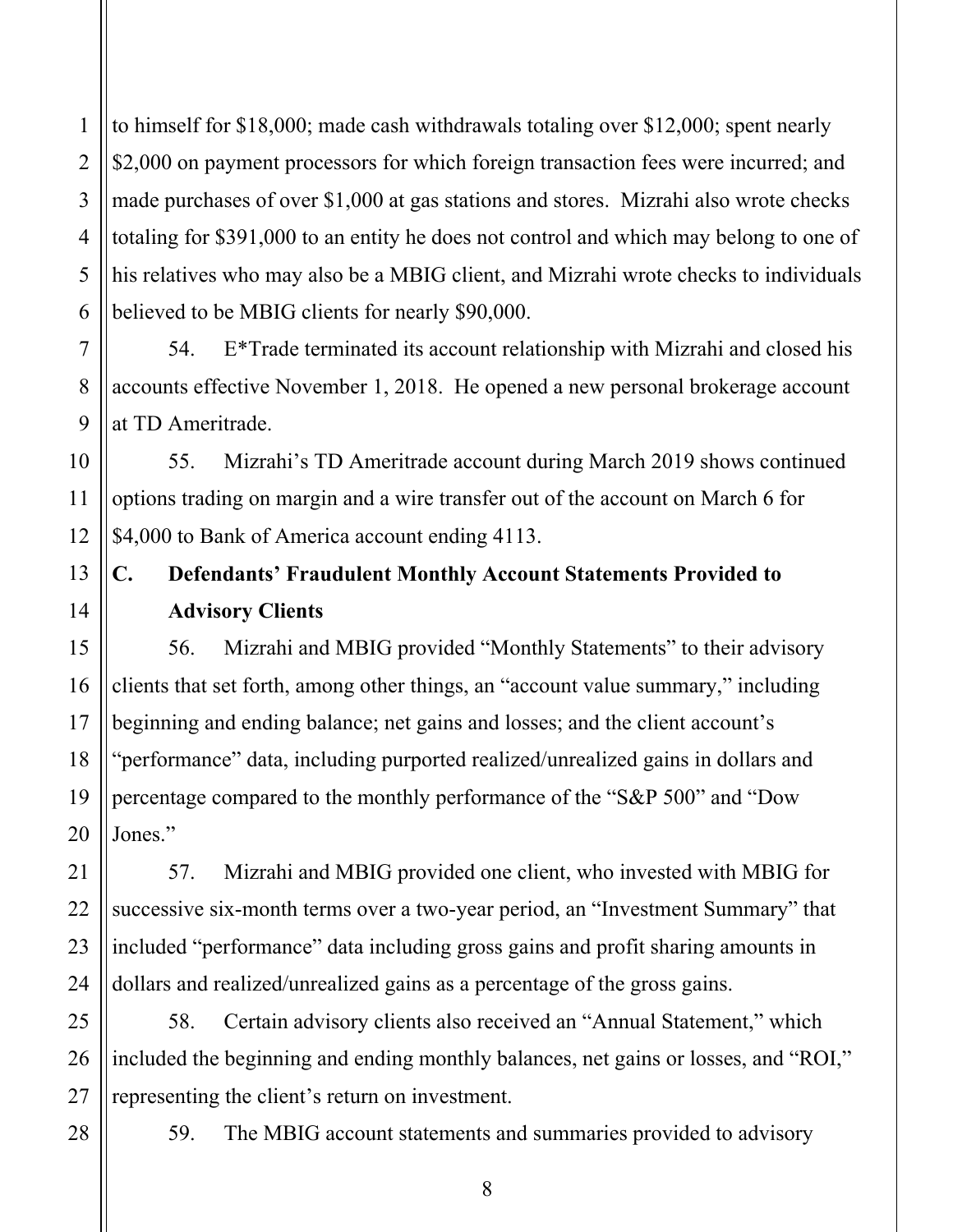1 2 3 4 5 6 to himself for \$18,000; made cash withdrawals totaling over \$12,000; spent nearly \$2,000 on payment processors for which foreign transaction fees were incurred; and made purchases of over \$1,000 at gas stations and stores. Mizrahi also wrote checks totaling for \$391,000 to an entity he does not control and which may belong to one of his relatives who may also be a MBIG client, and Mizrahi wrote checks to individuals believed to be MBIG clients for nearly \$90,000.

54. E\*Trade terminated its account relationship with Mizrahi and closed his accounts effective November 1, 2018. He opened a new personal brokerage account at TD Ameritrade.

55. Mizrahi's TD Ameritrade account during March 2019 shows continued options trading on margin and a wire transfer out of the account on March 6 for \$4,000 to Bank of America account ending 4113.

# **C. Defendants' Fraudulent Monthly Account Statements Provided to Advisory Clients**

56. Mizrahi and MBIG provided "Monthly Statements" to their advisory clients that set forth, among other things, an "account value summary," including beginning and ending balance; net gains and losses; and the client account's "performance" data, including purported realized/unrealized gains in dollars and percentage compared to the monthly performance of the "S&P 500" and "Dow Jones."

57. Mizrahi and MBIG provided one client, who invested with MBIG for successive six-month terms over a two-year period, an "Investment Summary" that included "performance" data including gross gains and profit sharing amounts in dollars and realized/unrealized gains as a percentage of the gross gains.

25 26 27 58. Certain advisory clients also received an "Annual Statement," which included the beginning and ending monthly balances, net gains or losses, and "ROI," representing the client's return on investment.

28

7

8

9

10

11

12

13

14

15

16

17

18

19

20

21

22

23

24

59. The MBIG account statements and summaries provided to advisory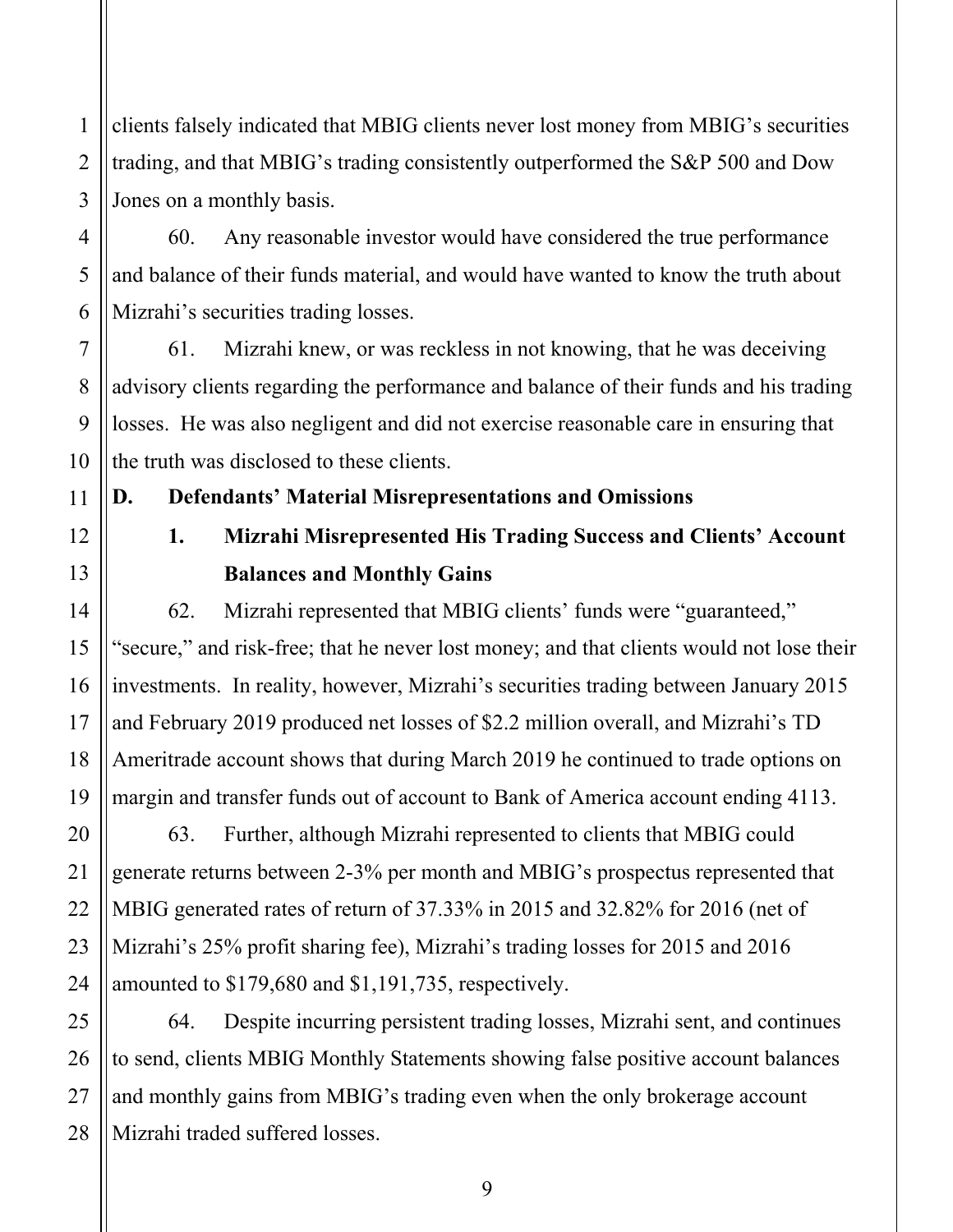1 2 clients falsely indicated that MBIG clients never lost money from MBIG's securities trading, and that MBIG's trading consistently outperformed the S&P 500 and Dow Jones on a monthly basis.

60. Any reasonable investor would have considered the true performance and balance of their funds material, and would have wanted to know the truth about Mizrahi's securities trading losses.

61. Mizrahi knew, or was reckless in not knowing, that he was deceiving advisory clients regarding the performance and balance of their funds and his trading losses. He was also negligent and did not exercise reasonable care in ensuring that the truth was disclosed to these clients.

**D. Defendants' Material Misrepresentations and Omissions** 

# **1. Mizrahi Misrepresented His Trading Success and Clients' Account Balances and Monthly Gains**

62. Mizrahi represented that MBIG clients' funds were "guaranteed," "secure," and risk-free; that he never lost money; and that clients would not lose their investments. In reality, however, Mizrahi's securities trading between January 2015 and February 2019 produced net losses of \$2.2 million overall, and Mizrahi's TD Ameritrade account shows that during March 2019 he continued to trade options on margin and transfer funds out of account to Bank of America account ending 4113.

63. Further, although Mizrahi represented to clients that MBIG could generate returns between 2-3% per month and MBIG's prospectus represented that MBIG generated rates of return of 37.33% in 2015 and 32.82% for 2016 (net of Mizrahi's 25% profit sharing fee), Mizrahi's trading losses for 2015 and 2016 amounted to \$179,680 and \$1,191,735, respectively.

64. Despite incurring persistent trading losses, Mizrahi sent, and continues to send, clients MBIG Monthly Statements showing false positive account balances and monthly gains from MBIG's trading even when the only brokerage account Mizrahi traded suffered losses.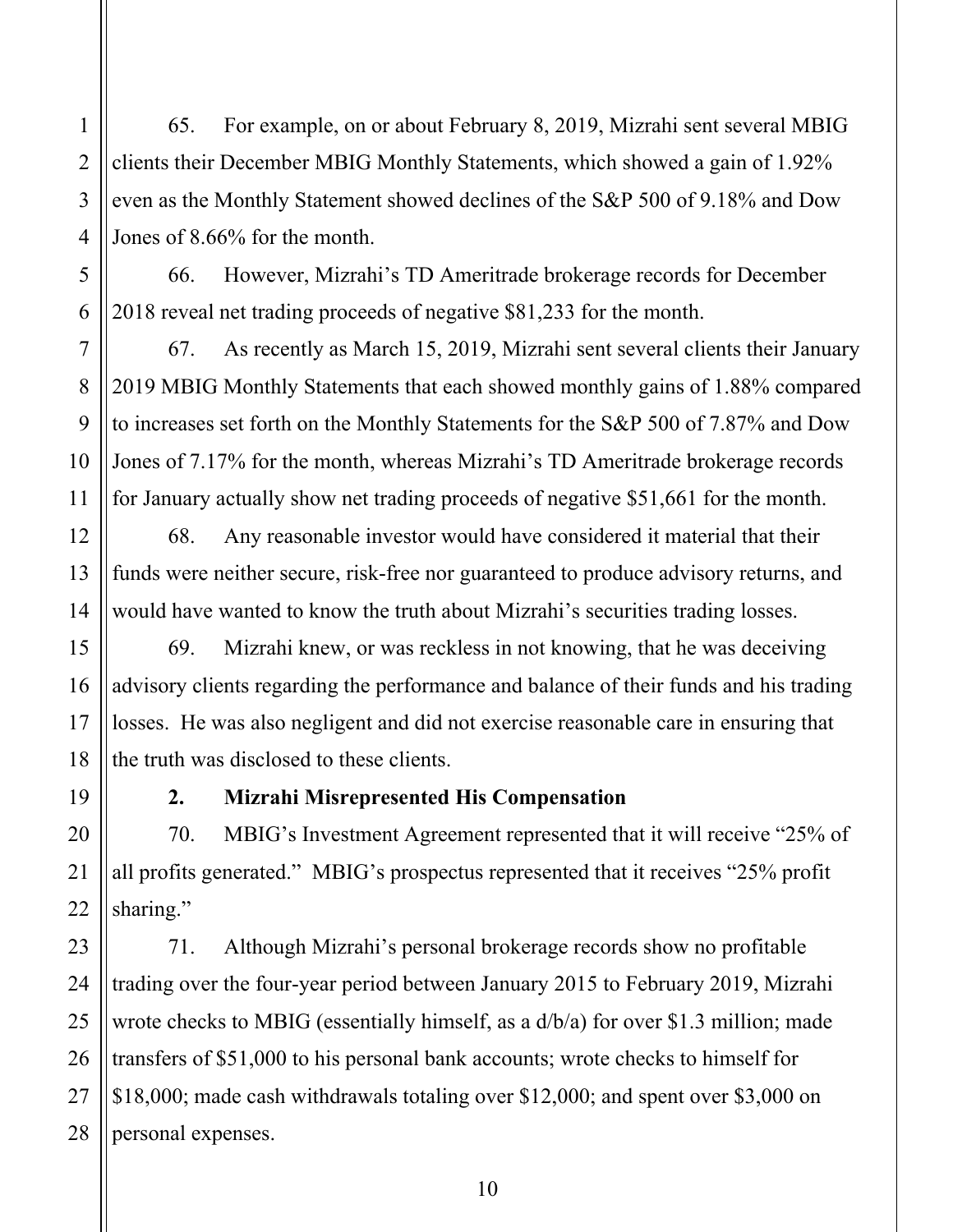65. For example, on or about February 8, 2019, Mizrahi sent several MBIG clients their December MBIG Monthly Statements, which showed a gain of 1.92% even as the Monthly Statement showed declines of the S&P 500 of 9.18% and Dow Jones of 8.66% for the month.

66. However, Mizrahi's TD Ameritrade brokerage records for December 2018 reveal net trading proceeds of negative \$81,233 for the month.

67. As recently as March 15, 2019, Mizrahi sent several clients their January 2019 MBIG Monthly Statements that each showed monthly gains of 1.88% compared to increases set forth on the Monthly Statements for the S&P 500 of 7.87% and Dow Jones of 7.17% for the month, whereas Mizrahi's TD Ameritrade brokerage records for January actually show net trading proceeds of negative \$51,661 for the month.

68. Any reasonable investor would have considered it material that their funds were neither secure, risk-free nor guaranteed to produce advisory returns, and would have wanted to know the truth about Mizrahi's securities trading losses.

69. Mizrahi knew, or was reckless in not knowing, that he was deceiving advisory clients regarding the performance and balance of their funds and his trading losses. He was also negligent and did not exercise reasonable care in ensuring that the truth was disclosed to these clients.

## **2. Mizrahi Misrepresented His Compensation**

70. MBIG's Investment Agreement represented that it will receive "25% of all profits generated." MBIG's prospectus represented that it receives "25% profit sharing."

71. Although Mizrahi's personal brokerage records show no profitable trading over the four-year period between January 2015 to February 2019, Mizrahi wrote checks to MBIG (essentially himself, as a d/b/a) for over \$1.3 million; made transfers of \$51,000 to his personal bank accounts; wrote checks to himself for \$18,000; made cash withdrawals totaling over \$12,000; and spent over \$3,000 on personal expenses.

1

2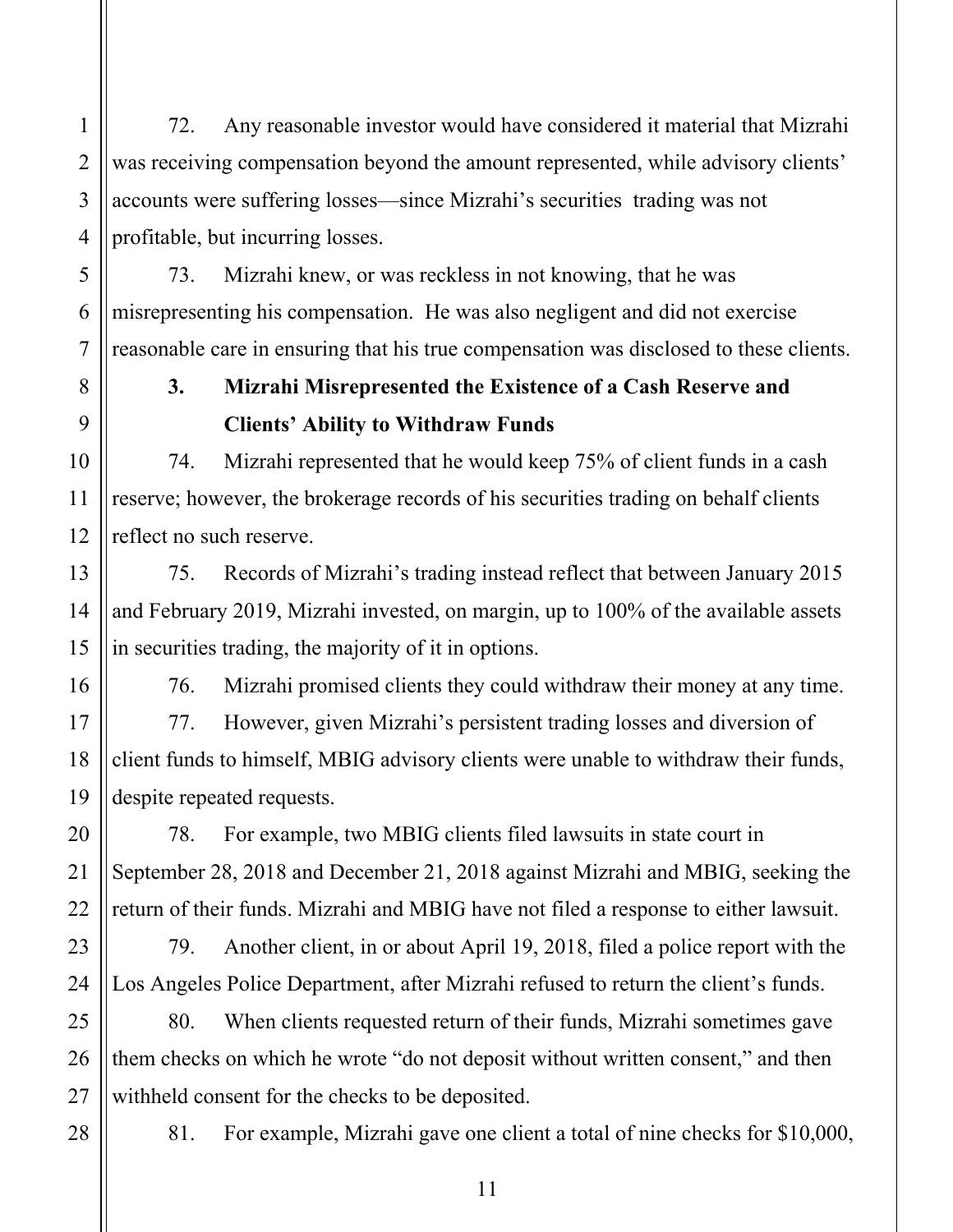72. Any reasonable investor would have considered it material that Mizrahi was receiving compensation beyond the amount represented, while advisory clients' accounts were suffering losses—since Mizrahi's securities trading was not profitable, but incurring losses.

73. Mizrahi knew, or was reckless in not knowing, that he was misrepresenting his compensation. He was also negligent and did not exercise reasonable care in ensuring that his true compensation was disclosed to these clients.

# **3. Mizrahi Misrepresented the Existence of a Cash Reserve and Clients' Ability to Withdraw Funds**

74. Mizrahi represented that he would keep 75% of client funds in a cash reserve; however, the brokerage records of his securities trading on behalf clients reflect no such reserve.

75. Records of Mizrahi's trading instead reflect that between January 2015 and February 2019, Mizrahi invested, on margin, up to 100% of the available assets in securities trading, the majority of it in options.

76. Mizrahi promised clients they could withdraw their money at any time.

77. However, given Mizrahi's persistent trading losses and diversion of client funds to himself, MBIG advisory clients were unable to withdraw their funds, despite repeated requests.

78. For example, two MBIG clients filed lawsuits in state court in September 28, 2018 and December 21, 2018 against Mizrahi and MBIG, seeking the return of their funds. Mizrahi and MBIG have not filed a response to either lawsuit.

79. Another client, in or about April 19, 2018, filed a police report with the Los Angeles Police Department, after Mizrahi refused to return the client's funds.

25 26 27 80. When clients requested return of their funds, Mizrahi sometimes gave them checks on which he wrote "do not deposit without written consent," and then withheld consent for the checks to be deposited.

28

1

2

3

4

5

6

7

8

9

10

11

12

13

14

15

16

17

18

19

20

21

22

23

24

81. For example, Mizrahi gave one client a total of nine checks for \$10,000,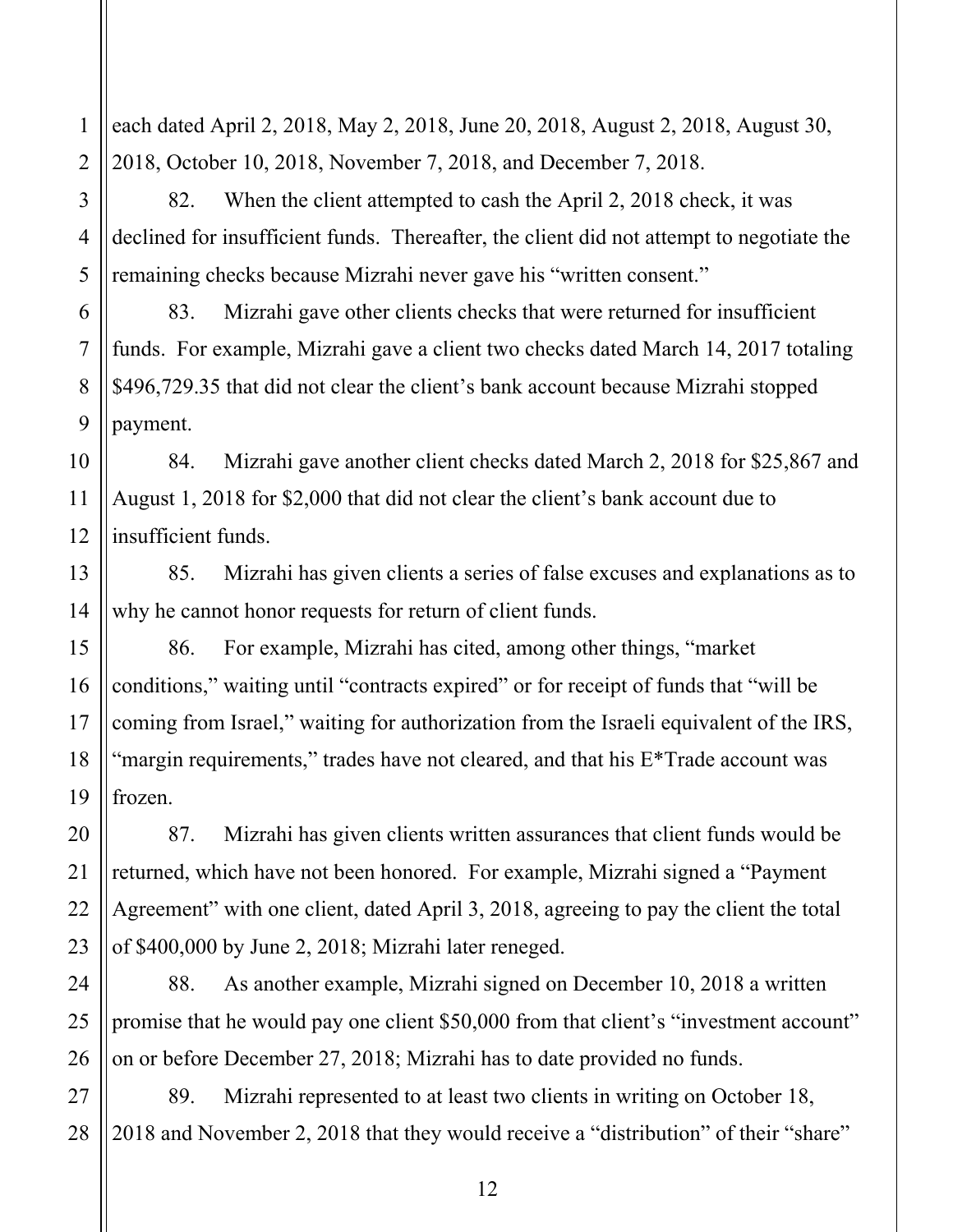1 2 each dated April 2, 2018, May 2, 2018, June 20, 2018, August 2, 2018, August 30, 2018, October 10, 2018, November 7, 2018, and December 7, 2018.

82. When the client attempted to cash the April 2, 2018 check, it was declined for insufficient funds. Thereafter, the client did not attempt to negotiate the remaining checks because Mizrahi never gave his "written consent."

83. Mizrahi gave other clients checks that were returned for insufficient funds. For example, Mizrahi gave a client two checks dated March 14, 2017 totaling \$496,729.35 that did not clear the client's bank account because Mizrahi stopped payment.

84. Mizrahi gave another client checks dated March 2, 2018 for \$25,867 and August 1, 2018 for \$2,000 that did not clear the client's bank account due to insufficient funds.

85. Mizrahi has given clients a series of false excuses and explanations as to why he cannot honor requests for return of client funds.

86. For example, Mizrahi has cited, among other things, "market conditions," waiting until "contracts expired" or for receipt of funds that "will be coming from Israel," waiting for authorization from the Israeli equivalent of the IRS, "margin requirements," trades have not cleared, and that his E<sup>\*</sup>Trade account was frozen.

87. Mizrahi has given clients written assurances that client funds would be returned, which have not been honored. For example, Mizrahi signed a "Payment Agreement" with one client, dated April 3, 2018, agreeing to pay the client the total of \$400,000 by June 2, 2018; Mizrahi later reneged.

88. As another example, Mizrahi signed on December 10, 2018 a written promise that he would pay one client \$50,000 from that client's "investment account" on or before December 27, 2018; Mizrahi has to date provided no funds.

27 28 89. Mizrahi represented to at least two clients in writing on October 18, 2018 and November 2, 2018 that they would receive a "distribution" of their "share"

3

4

5

6

7

8

9

10

11

12

13

14

15

16

17

18

19

20

21

22

23

24

25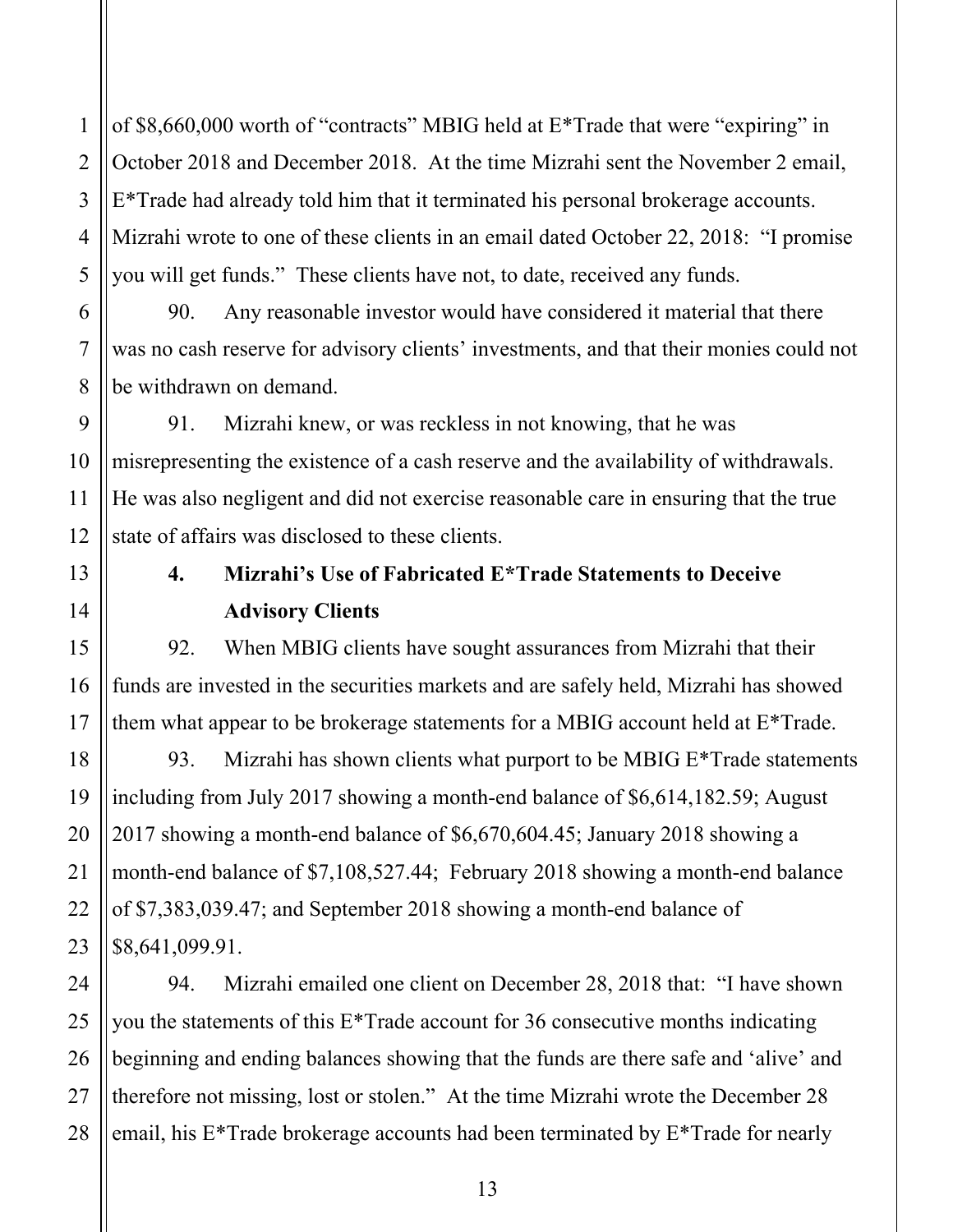of \$8,660,000 worth of "contracts" MBIG held at E\*Trade that were "expiring" in October 2018 and December 2018. At the time Mizrahi sent the November 2 email, E\*Trade had already told him that it terminated his personal brokerage accounts. Mizrahi wrote to one of these clients in an email dated October 22, 2018: "I promise you will get funds." These clients have not, to date, received any funds.

90. Any reasonable investor would have considered it material that there was no cash reserve for advisory clients' investments, and that their monies could not be withdrawn on demand.

91. Mizrahi knew, or was reckless in not knowing, that he was misrepresenting the existence of a cash reserve and the availability of withdrawals. He was also negligent and did not exercise reasonable care in ensuring that the true state of affairs was disclosed to these clients.

# **4. Mizrahi's Use of Fabricated E\*Trade Statements to Deceive Advisory Clients**

92. When MBIG clients have sought assurances from Mizrahi that their funds are invested in the securities markets and are safely held, Mizrahi has showed them what appear to be brokerage statements for a MBIG account held at E\*Trade.

93. Mizrahi has shown clients what purport to be MBIG  $E^*$ Trade statements including from July 2017 showing a month-end balance of \$6,614,182.59; August 2017 showing a month-end balance of \$6,670,604.45; January 2018 showing a month-end balance of \$7,108,527.44; February 2018 showing a month-end balance of \$7,383,039.47; and September 2018 showing a month-end balance of \$8,641,099.91.

94. Mizrahi emailed one client on December 28, 2018 that: "I have shown you the statements of this E\*Trade account for 36 consecutive months indicating beginning and ending balances showing that the funds are there safe and 'alive' and therefore not missing, lost or stolen." At the time Mizrahi wrote the December 28 email, his E\*Trade brokerage accounts had been terminated by E\*Trade for nearly

1

2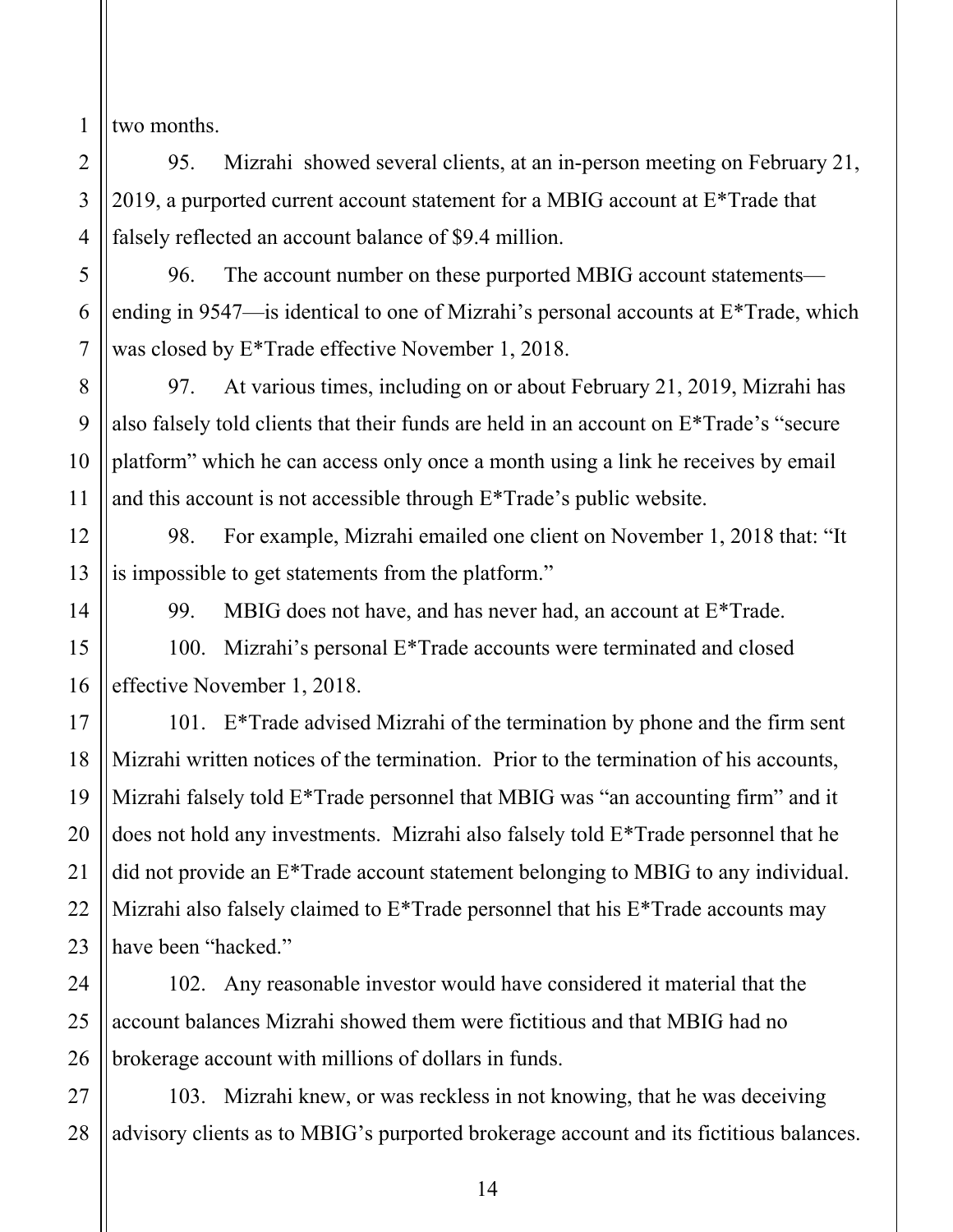1 two months.

2

3

4

5

6

7

8

9

10

11

12

13

14

15

16

17

18

19

20

21

22

23

24

25

26

95. Mizrahi showed several clients, at an in-person meeting on February 21, 2019, a purported current account statement for a MBIG account at E\*Trade that falsely reflected an account balance of \$9.4 million.

96. The account number on these purported MBIG account statements ending in 9547—is identical to one of Mizrahi's personal accounts at E\*Trade, which was closed by E\*Trade effective November 1, 2018.

97. At various times, including on or about February 21, 2019, Mizrahi has also falsely told clients that their funds are held in an account on E\*Trade's "secure platform" which he can access only once a month using a link he receives by email and this account is not accessible through E\*Trade's public website.

98. For example, Mizrahi emailed one client on November 1, 2018 that: "It is impossible to get statements from the platform."

99. MBIG does not have, and has never had, an account at E\*Trade.

100. Mizrahi's personal E\*Trade accounts were terminated and closed effective November 1, 2018.

101. E\*Trade advised Mizrahi of the termination by phone and the firm sent Mizrahi written notices of the termination. Prior to the termination of his accounts, Mizrahi falsely told E\*Trade personnel that MBIG was "an accounting firm" and it does not hold any investments. Mizrahi also falsely told E\*Trade personnel that he did not provide an E\*Trade account statement belonging to MBIG to any individual. Mizrahi also falsely claimed to E\*Trade personnel that his E\*Trade accounts may have been "hacked."

102. Any reasonable investor would have considered it material that the account balances Mizrahi showed them were fictitious and that MBIG had no brokerage account with millions of dollars in funds.

27 28 103. Mizrahi knew, or was reckless in not knowing, that he was deceiving advisory clients as to MBIG's purported brokerage account and its fictitious balances.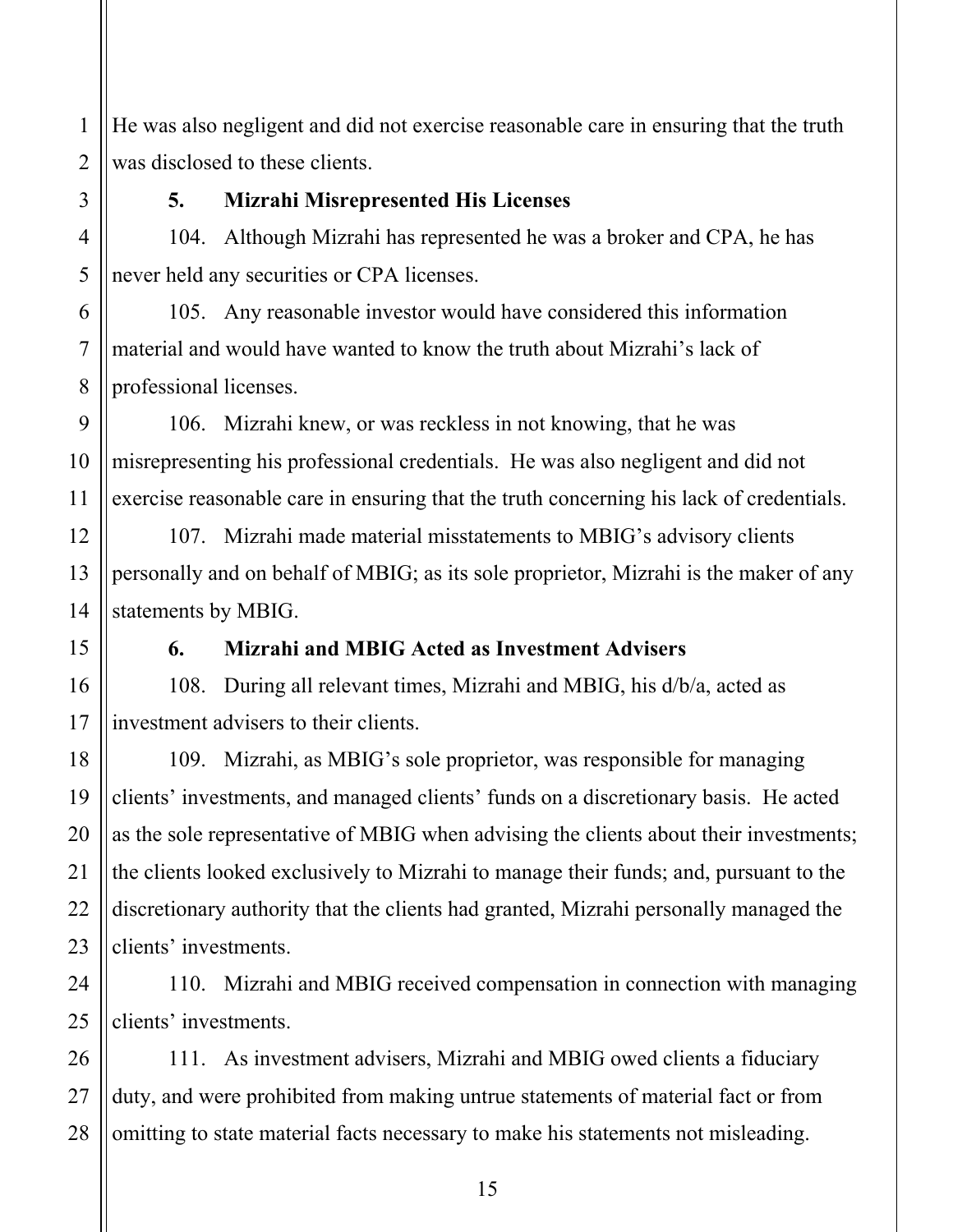1 2 He was also negligent and did not exercise reasonable care in ensuring that the truth was disclosed to these clients.

3

4

5

6

7

8

9

10

11

12

13

15

16

17

18

19

20

21

22

23

24

25

## **5. Mizrahi Misrepresented His Licenses**

104. Although Mizrahi has represented he was a broker and CPA, he has never held any securities or CPA licenses.

105. Any reasonable investor would have considered this information material and would have wanted to know the truth about Mizrahi's lack of professional licenses.

106. Mizrahi knew, or was reckless in not knowing, that he was misrepresenting his professional credentials. He was also negligent and did not exercise reasonable care in ensuring that the truth concerning his lack of credentials.

14 107. Mizrahi made material misstatements to MBIG's advisory clients personally and on behalf of MBIG; as its sole proprietor, Mizrahi is the maker of any statements by MBIG.

## **6. Mizrahi and MBIG Acted as Investment Advisers**

108. During all relevant times, Mizrahi and MBIG, his d/b/a, acted as investment advisers to their clients.

109. Mizrahi, as MBIG's sole proprietor, was responsible for managing clients' investments, and managed clients' funds on a discretionary basis. He acted as the sole representative of MBIG when advising the clients about their investments; the clients looked exclusively to Mizrahi to manage their funds; and, pursuant to the discretionary authority that the clients had granted, Mizrahi personally managed the clients' investments.

110. Mizrahi and MBIG received compensation in connection with managing clients' investments.

26 27 28 111. As investment advisers, Mizrahi and MBIG owed clients a fiduciary duty, and were prohibited from making untrue statements of material fact or from omitting to state material facts necessary to make his statements not misleading.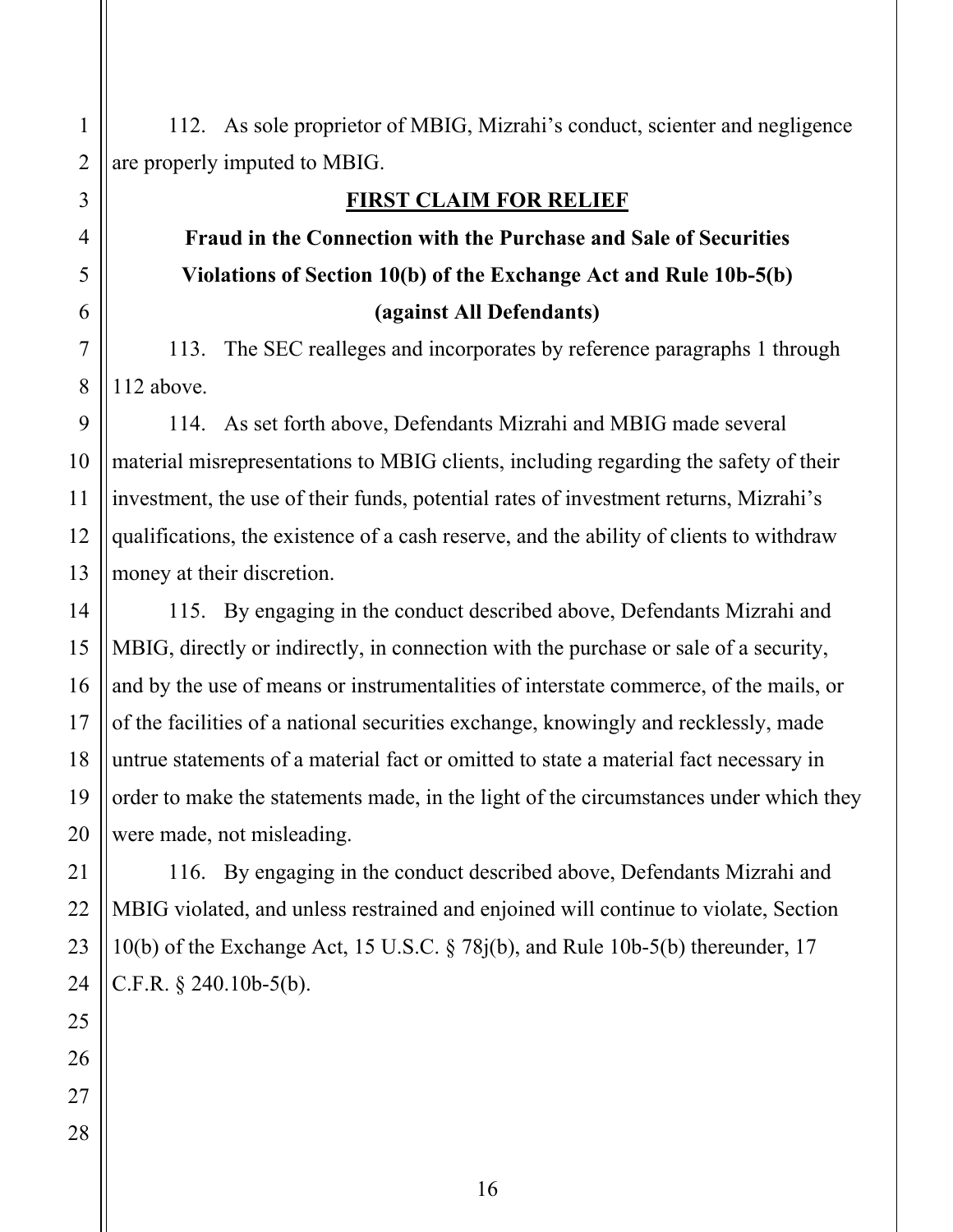112. As sole proprietor of MBIG, Mizrahi's conduct, scienter and negligence are properly imputed to MBIG.

### **FIRST CLAIM FOR RELIEF**

# **Fraud in the Connection with the Purchase and Sale of Securities Violations of Section 10(b) of the Exchange Act and Rule 10b-5(b) (against All Defendants)**

113. The SEC realleges and incorporates by reference paragraphs 1 through 112 above.

114. As set forth above, Defendants Mizrahi and MBIG made several material misrepresentations to MBIG clients, including regarding the safety of their investment, the use of their funds, potential rates of investment returns, Mizrahi's qualifications, the existence of a cash reserve, and the ability of clients to withdraw money at their discretion.

115. By engaging in the conduct described above, Defendants Mizrahi and MBIG, directly or indirectly, in connection with the purchase or sale of a security, and by the use of means or instrumentalities of interstate commerce, of the mails, or of the facilities of a national securities exchange, knowingly and recklessly, made untrue statements of a material fact or omitted to state a material fact necessary in order to make the statements made, in the light of the circumstances under which they were made, not misleading.

116. By engaging in the conduct described above, Defendants Mizrahi and MBIG violated, and unless restrained and enjoined will continue to violate, Section 10(b) of the Exchange Act, 15 U.S.C. § 78j(b), and Rule 10b-5(b) thereunder, 17 C.F.R. § 240.10b-5(b).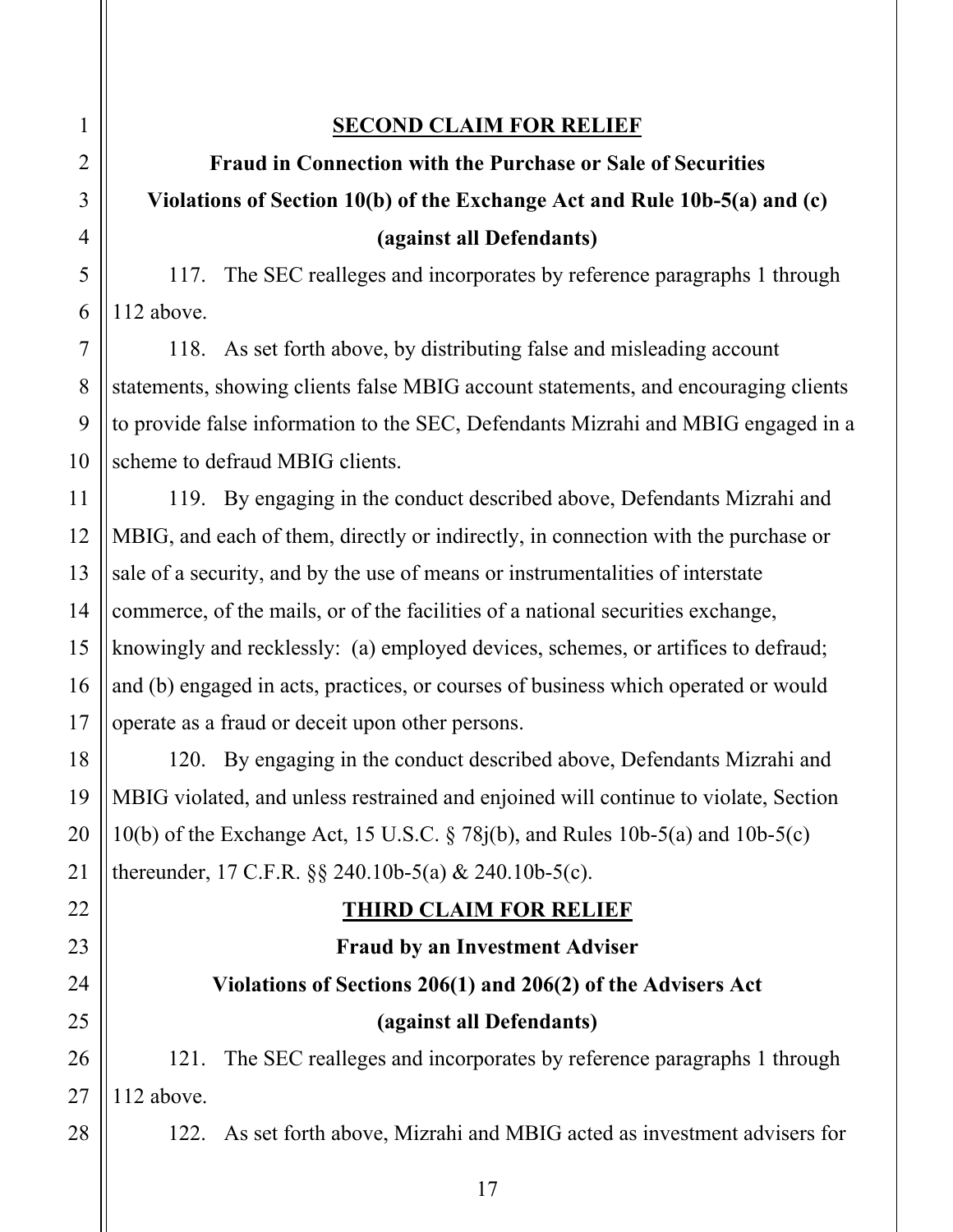### **SECOND CLAIM FOR RELIEF**

# **Fraud in Connection with the Purchase or Sale of Securities Violations of Section 10(b) of the Exchange Act and Rule 10b-5(a) and (c) (against all Defendants)**

117. The SEC realleges and incorporates by reference paragraphs 1 through 112 above.

118. As set forth above, by distributing false and misleading account statements, showing clients false MBIG account statements, and encouraging clients to provide false information to the SEC, Defendants Mizrahi and MBIG engaged in a scheme to defraud MBIG clients.

119. By engaging in the conduct described above, Defendants Mizrahi and MBIG, and each of them, directly or indirectly, in connection with the purchase or sale of a security, and by the use of means or instrumentalities of interstate commerce, of the mails, or of the facilities of a national securities exchange, knowingly and recklessly: (a) employed devices, schemes, or artifices to defraud; and (b) engaged in acts, practices, or courses of business which operated or would operate as a fraud or deceit upon other persons.

120. By engaging in the conduct described above, Defendants Mizrahi and MBIG violated, and unless restrained and enjoined will continue to violate, Section 10(b) of the Exchange Act, 15 U.S.C. § 78j(b), and Rules 10b-5(a) and 10b-5(c) thereunder, 17 C.F.R. §§ 240.10b-5(a) & 240.10b-5(c).

## **THIRD CLAIM FOR RELIEF**

# **Fraud by an Investment Adviser Violations of Sections 206(1) and 206(2) of the Advisers Act (against all Defendants)**

121. The SEC realleges and incorporates by reference paragraphs 1 through 112 above.

122. As set forth above, Mizrahi and MBIG acted as investment advisers for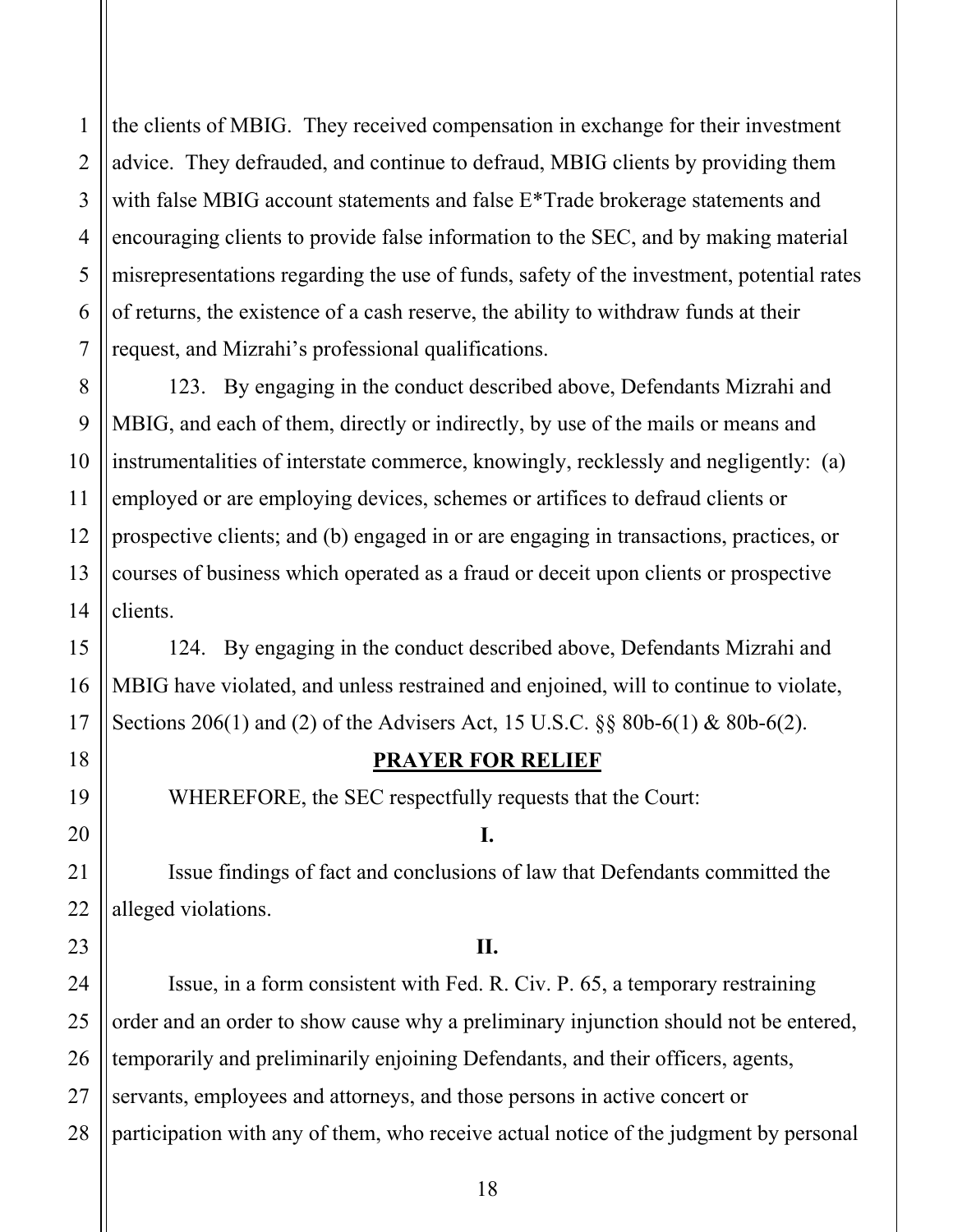1 the clients of MBIG. They received compensation in exchange for their investment advice. They defrauded, and continue to defraud, MBIG clients by providing them with false MBIG account statements and false E<sup>\*</sup>Trade brokerage statements and encouraging clients to provide false information to the SEC, and by making material misrepresentations regarding the use of funds, safety of the investment, potential rates of returns, the existence of a cash reserve, the ability to withdraw funds at their request, and Mizrahi's professional qualifications.

123. By engaging in the conduct described above, Defendants Mizrahi and MBIG, and each of them, directly or indirectly, by use of the mails or means and instrumentalities of interstate commerce, knowingly, recklessly and negligently: (a) employed or are employing devices, schemes or artifices to defraud clients or prospective clients; and (b) engaged in or are engaging in transactions, practices, or courses of business which operated as a fraud or deceit upon clients or prospective clients.

124. By engaging in the conduct described above, Defendants Mizrahi and MBIG have violated, and unless restrained and enjoined, will to continue to violate, Sections 206(1) and (2) of the Advisers Act, 15 U.S.C. §§ 80b-6(1) & 80b-6(2).

### **PRAYER FOR RELIEF**

WHEREFORE, the SEC respectfully requests that the Court:

**I.** 

Issue findings of fact and conclusions of law that Defendants committed the alleged violations.

#### **II.**

Issue, in a form consistent with Fed. R. Civ. P. 65, a temporary restraining order and an order to show cause why a preliminary injunction should not be entered, temporarily and preliminarily enjoining Defendants, and their officers, agents, servants, employees and attorneys, and those persons in active concert or participation with any of them, who receive actual notice of the judgment by personal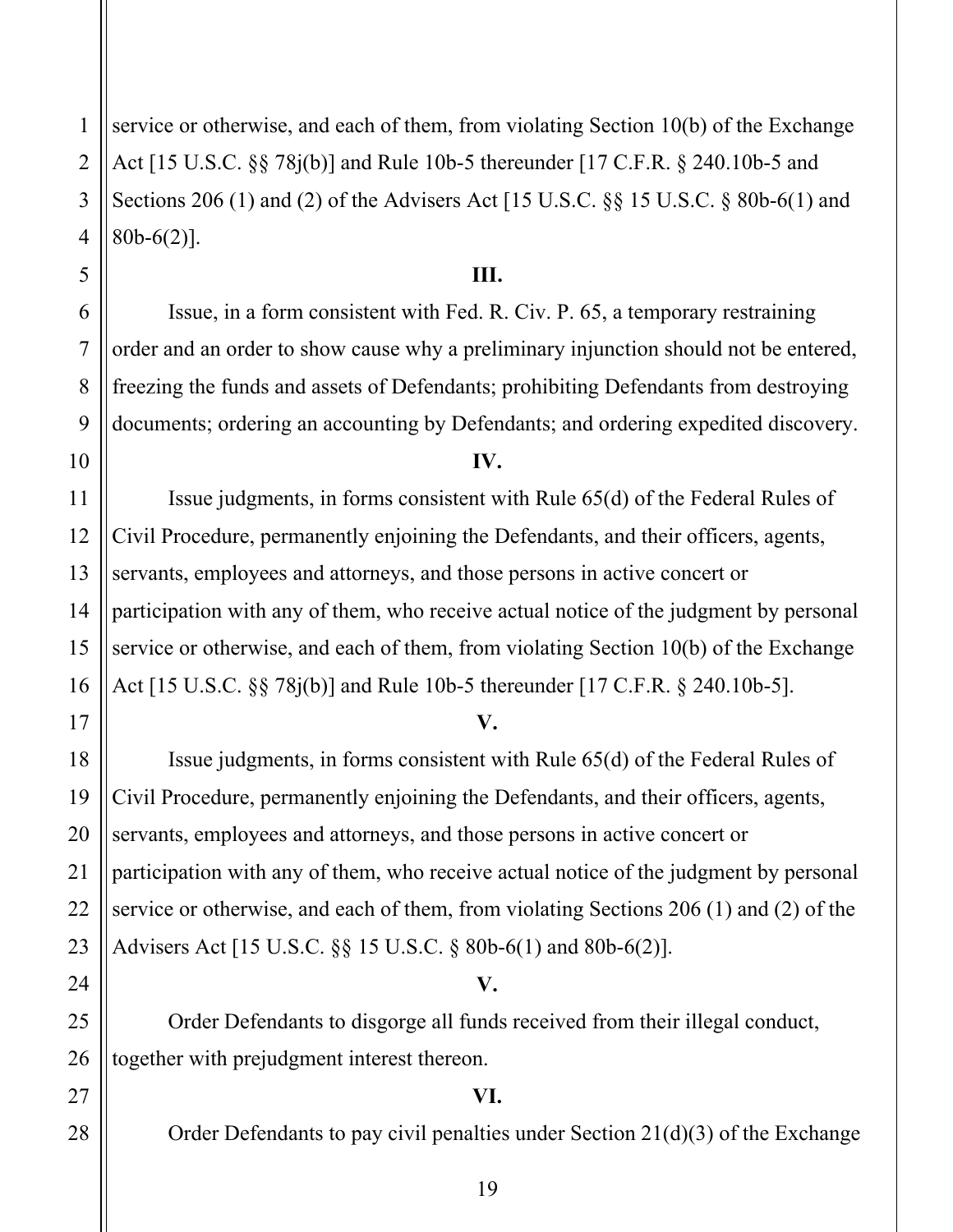1 service or otherwise, and each of them, from violating Section 10(b) of the Exchange Act [15 U.S.C. §§ 78j(b)] and Rule 10b-5 thereunder [17 C.F.R. § 240.10b-5 and Sections 206 (1) and (2) of the Advisers Act [15 U.S.C. §§ 15 U.S.C. § 80b-6(1) and 80b-6(2)].

### **III.**

Issue, in a form consistent with Fed. R. Civ. P. 65, a temporary restraining order and an order to show cause why a preliminary injunction should not be entered, freezing the funds and assets of Defendants; prohibiting Defendants from destroying documents; ordering an accounting by Defendants; and ordering expedited discovery.

#### **IV.**

Issue judgments, in forms consistent with Rule 65(d) of the Federal Rules of Civil Procedure, permanently enjoining the Defendants, and their officers, agents, servants, employees and attorneys, and those persons in active concert or participation with any of them, who receive actual notice of the judgment by personal service or otherwise, and each of them, from violating Section 10(b) of the Exchange Act [15 U.S.C. §§ 78j(b)] and Rule 10b-5 thereunder [17 C.F.R. § 240.10b-5].

#### **V.**

Issue judgments, in forms consistent with Rule 65(d) of the Federal Rules of Civil Procedure, permanently enjoining the Defendants, and their officers, agents, servants, employees and attorneys, and those persons in active concert or participation with any of them, who receive actual notice of the judgment by personal service or otherwise, and each of them, from violating Sections 206 (1) and (2) of the Advisers Act [15 U.S.C. §§ 15 U.S.C. § 80b-6(1) and 80b-6(2)].

### **V.**

Order Defendants to disgorge all funds received from their illegal conduct, together with prejudgment interest thereon.

### **VI.**

Order Defendants to pay civil penalties under Section 21(d)(3) of the Exchange